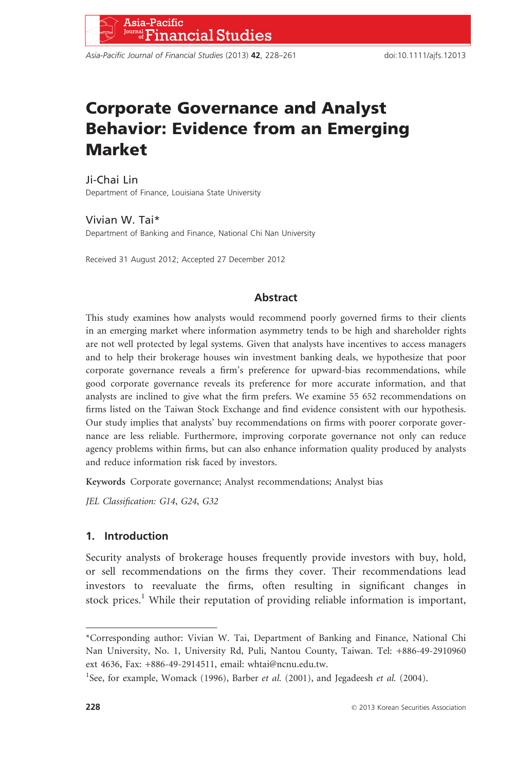

**Financial Studies** 

Asia-Pacific Journal of Financial Studies (2013) 42, 228–261 doi:10.1111/ajfs.12013

# Corporate Governance and Analyst Behavior: Evidence from an Emerging Market

Ji-Chai Lin Department of Finance, Louisiana State University

Vivian W. Tai\*

Department of Banking and Finance, National Chi Nan University

Received 31 August 2012; Accepted 27 December 2012

# Abstract

This study examines how analysts would recommend poorly governed firms to their clients in an emerging market where information asymmetry tends to be high and shareholder rights are not well protected by legal systems. Given that analysts have incentives to access managers and to help their brokerage houses win investment banking deals, we hypothesize that poor corporate governance reveals a firm's preference for upward-bias recommendations, while good corporate governance reveals its preference for more accurate information, and that analysts are inclined to give what the firm prefers. We examine 55 652 recommendations on firms listed on the Taiwan Stock Exchange and find evidence consistent with our hypothesis. Our study implies that analysts' buy recommendations on firms with poorer corporate governance are less reliable. Furthermore, improving corporate governance not only can reduce agency problems within firms, but can also enhance information quality produced by analysts and reduce information risk faced by investors.

Keywords Corporate governance; Analyst recommendations; Analyst bias

JEL Classification: G14, G24, G32

# 1. Introduction

Security analysts of brokerage houses frequently provide investors with buy, hold, or sell recommendations on the firms they cover. Their recommendations lead investors to reevaluate the firms, often resulting in significant changes in stock prices.<sup>1</sup> While their reputation of providing reliable information is important,

<sup>\*</sup>Corresponding author: Vivian W. Tai, Department of Banking and Finance, National Chi Nan University, No. 1, University Rd, Puli, Nantou County, Taiwan. Tel: +886-49-2910960 ext 4636, Fax: +886-49-2914511, email: whtai@ncnu.edu.tw.

<sup>&</sup>lt;sup>1</sup>See, for example, Womack (1996), Barber et al. (2001), and Jegadeesh et al. (2004).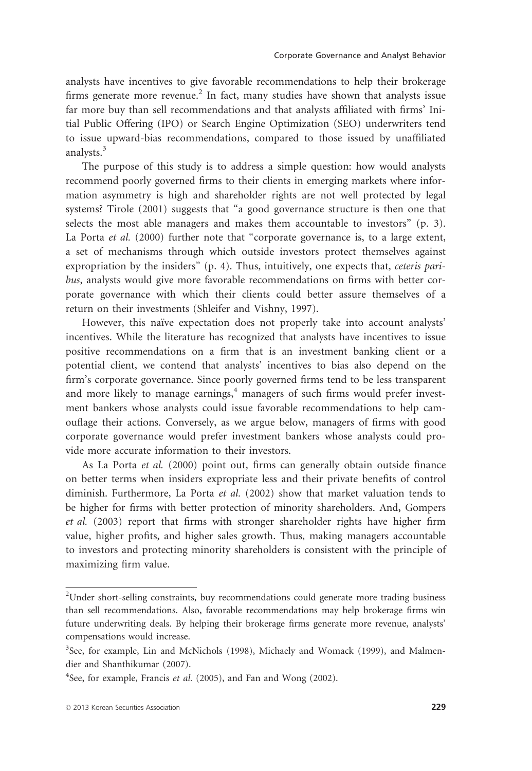analysts have incentives to give favorable recommendations to help their brokerage firms generate more revenue.<sup>2</sup> In fact, many studies have shown that analysts issue far more buy than sell recommendations and that analysts affiliated with firms' Initial Public Offering (IPO) or Search Engine Optimization (SEO) underwriters tend to issue upward-bias recommendations, compared to those issued by unaffiliated analysts.<sup>3</sup>

The purpose of this study is to address a simple question: how would analysts recommend poorly governed firms to their clients in emerging markets where information asymmetry is high and shareholder rights are not well protected by legal systems? Tirole (2001) suggests that "a good governance structure is then one that selects the most able managers and makes them accountable to investors" (p. 3). La Porta et al. (2000) further note that "corporate governance is, to a large extent, a set of mechanisms through which outside investors protect themselves against expropriation by the insiders" (p. 4). Thus, intuitively, one expects that, *ceteris pari*bus, analysts would give more favorable recommendations on firms with better corporate governance with which their clients could better assure themselves of a return on their investments (Shleifer and Vishny, 1997).

However, this naïve expectation does not properly take into account analysts' incentives. While the literature has recognized that analysts have incentives to issue positive recommendations on a firm that is an investment banking client or a potential client, we contend that analysts' incentives to bias also depend on the firm's corporate governance. Since poorly governed firms tend to be less transparent and more likely to manage earnings, $<sup>4</sup>$  managers of such firms would prefer invest-</sup> ment bankers whose analysts could issue favorable recommendations to help camouflage their actions. Conversely, as we argue below, managers of firms with good corporate governance would prefer investment bankers whose analysts could provide more accurate information to their investors.

As La Porta et al. (2000) point out, firms can generally obtain outside finance on better terms when insiders expropriate less and their private benefits of control diminish. Furthermore, La Porta et al. (2002) show that market valuation tends to be higher for firms with better protection of minority shareholders. And, Gompers et al. (2003) report that firms with stronger shareholder rights have higher firm value, higher profits, and higher sales growth. Thus, making managers accountable to investors and protecting minority shareholders is consistent with the principle of maximizing firm value.

<sup>&</sup>lt;sup>2</sup>Under short-selling constraints, buy recommendations could generate more trading business than sell recommendations. Also, favorable recommendations may help brokerage firms win future underwriting deals. By helping their brokerage firms generate more revenue, analysts' compensations would increase.

<sup>&</sup>lt;sup>3</sup>See, for example, Lin and McNichols (1998), Michaely and Womack (1999), and Malmendier and Shanthikumar (2007).

<sup>&</sup>lt;sup>4</sup>See, for example, Francis et al. (2005), and Fan and Wong (2002).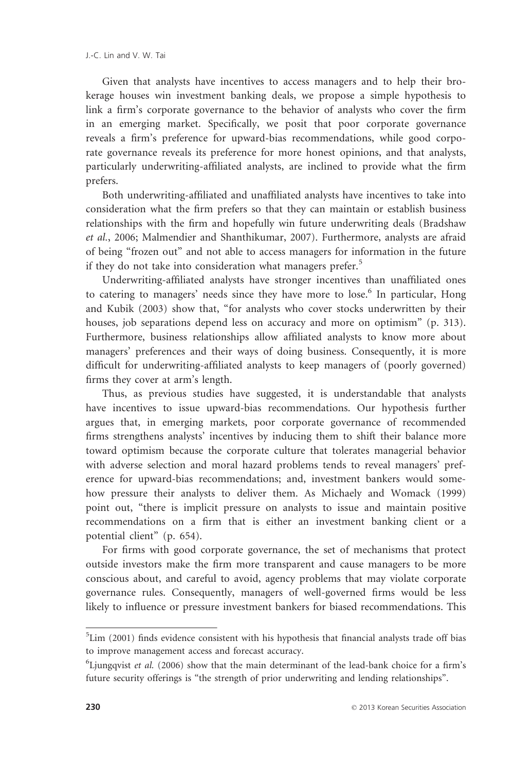Given that analysts have incentives to access managers and to help their brokerage houses win investment banking deals, we propose a simple hypothesis to link a firm's corporate governance to the behavior of analysts who cover the firm in an emerging market. Specifically, we posit that poor corporate governance reveals a firm's preference for upward-bias recommendations, while good corporate governance reveals its preference for more honest opinions, and that analysts, particularly underwriting-affiliated analysts, are inclined to provide what the firm prefers.

Both underwriting-affiliated and unaffiliated analysts have incentives to take into consideration what the firm prefers so that they can maintain or establish business relationships with the firm and hopefully win future underwriting deals (Bradshaw et al., 2006; Malmendier and Shanthikumar, 2007). Furthermore, analysts are afraid of being "frozen out" and not able to access managers for information in the future if they do not take into consideration what managers prefer.<sup>5</sup>

Underwriting-affiliated analysts have stronger incentives than unaffiliated ones to catering to managers' needs since they have more to lose.<sup>6</sup> In particular, Hong and Kubik (2003) show that, "for analysts who cover stocks underwritten by their houses, job separations depend less on accuracy and more on optimism" (p. 313). Furthermore, business relationships allow affiliated analysts to know more about managers' preferences and their ways of doing business. Consequently, it is more difficult for underwriting-affiliated analysts to keep managers of (poorly governed) firms they cover at arm's length.

Thus, as previous studies have suggested, it is understandable that analysts have incentives to issue upward-bias recommendations. Our hypothesis further argues that, in emerging markets, poor corporate governance of recommended firms strengthens analysts' incentives by inducing them to shift their balance more toward optimism because the corporate culture that tolerates managerial behavior with adverse selection and moral hazard problems tends to reveal managers' preference for upward-bias recommendations; and, investment bankers would somehow pressure their analysts to deliver them. As Michaely and Womack (1999) point out, "there is implicit pressure on analysts to issue and maintain positive recommendations on a firm that is either an investment banking client or a potential client" (p. 654).

For firms with good corporate governance, the set of mechanisms that protect outside investors make the firm more transparent and cause managers to be more conscious about, and careful to avoid, agency problems that may violate corporate governance rules. Consequently, managers of well-governed firms would be less likely to influence or pressure investment bankers for biased recommendations. This

<sup>&</sup>lt;sup>5</sup>Lim (2001) finds evidence consistent with his hypothesis that financial analysts trade off bias to improve management access and forecast accuracy.

<sup>&</sup>lt;sup>6</sup>Ljungqvist et al. (2006) show that the main determinant of the lead-bank choice for a firm's future security offerings is "the strength of prior underwriting and lending relationships".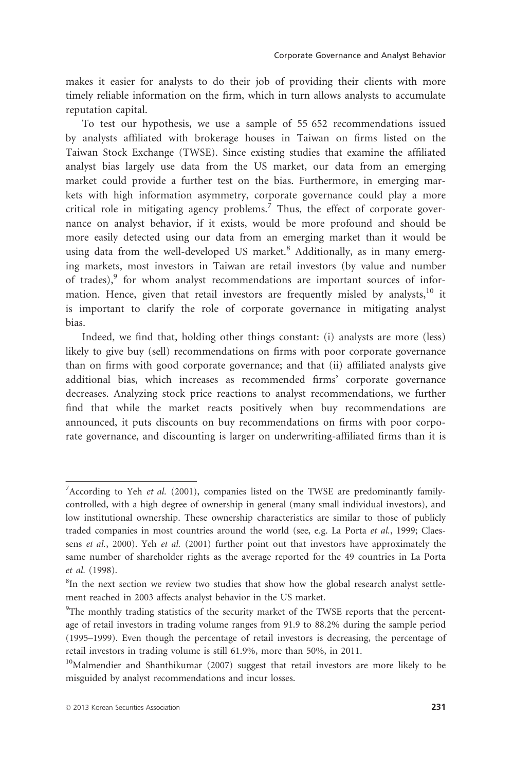makes it easier for analysts to do their job of providing their clients with more timely reliable information on the firm, which in turn allows analysts to accumulate reputation capital.

To test our hypothesis, we use a sample of 55 652 recommendations issued by analysts affiliated with brokerage houses in Taiwan on firms listed on the Taiwan Stock Exchange (TWSE). Since existing studies that examine the affiliated analyst bias largely use data from the US market, our data from an emerging market could provide a further test on the bias. Furthermore, in emerging markets with high information asymmetry, corporate governance could play a more critical role in mitigating agency problems.<sup>7</sup> Thus, the effect of corporate governance on analyst behavior, if it exists, would be more profound and should be more easily detected using our data from an emerging market than it would be using data from the well-developed US market.<sup>8</sup> Additionally, as in many emerging markets, most investors in Taiwan are retail investors (by value and number of trades), $9$  for whom analyst recommendations are important sources of information. Hence, given that retail investors are frequently misled by analysts, $10$  it is important to clarify the role of corporate governance in mitigating analyst bias.

Indeed, we find that, holding other things constant: (i) analysts are more (less) likely to give buy (sell) recommendations on firms with poor corporate governance than on firms with good corporate governance; and that (ii) affiliated analysts give additional bias, which increases as recommended firms' corporate governance decreases. Analyzing stock price reactions to analyst recommendations, we further find that while the market reacts positively when buy recommendations are announced, it puts discounts on buy recommendations on firms with poor corporate governance, and discounting is larger on underwriting-affiliated firms than it is

<sup>&</sup>lt;sup>7</sup> According to Yeh et al. (2001), companies listed on the TWSE are predominantly familycontrolled, with a high degree of ownership in general (many small individual investors), and low institutional ownership. These ownership characteristics are similar to those of publicly traded companies in most countries around the world (see, e.g. La Porta et al., 1999; Claessens et al., 2000). Yeh et al. (2001) further point out that investors have approximately the same number of shareholder rights as the average reported for the 49 countries in La Porta et al. (1998).

<sup>&</sup>lt;sup>8</sup>In the next section we review two studies that show how the global research analyst settlement reached in 2003 affects analyst behavior in the US market.

<sup>&</sup>lt;sup>9</sup>The monthly trading statistics of the security market of the TWSE reports that the percentage of retail investors in trading volume ranges from 91.9 to 88.2% during the sample period (1995–1999). Even though the percentage of retail investors is decreasing, the percentage of retail investors in trading volume is still 61.9%, more than 50%, in 2011.

 $10$ Malmendier and Shanthikumar (2007) suggest that retail investors are more likely to be misguided by analyst recommendations and incur losses.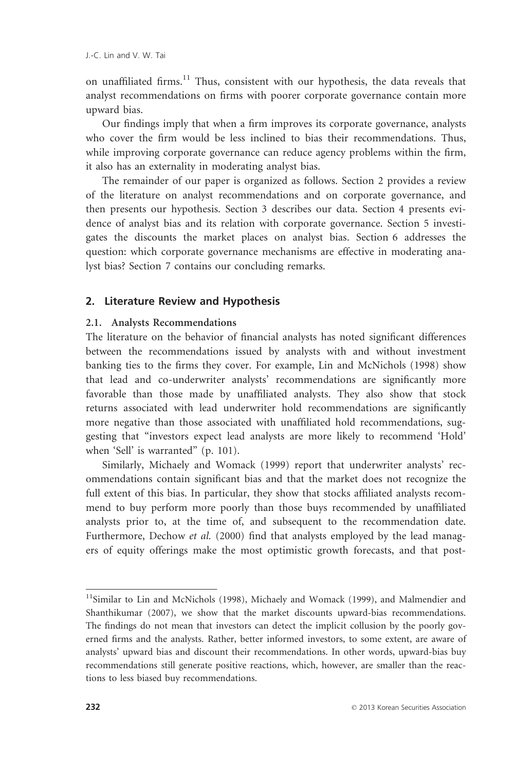on unaffiliated firms.<sup>11</sup> Thus, consistent with our hypothesis, the data reveals that analyst recommendations on firms with poorer corporate governance contain more upward bias.

Our findings imply that when a firm improves its corporate governance, analysts who cover the firm would be less inclined to bias their recommendations. Thus, while improving corporate governance can reduce agency problems within the firm, it also has an externality in moderating analyst bias.

The remainder of our paper is organized as follows. Section 2 provides a review of the literature on analyst recommendations and on corporate governance, and then presents our hypothesis. Section 3 describes our data. Section 4 presents evidence of analyst bias and its relation with corporate governance. Section 5 investigates the discounts the market places on analyst bias. Section 6 addresses the question: which corporate governance mechanisms are effective in moderating analyst bias? Section 7 contains our concluding remarks.

# 2. Literature Review and Hypothesis

## 2.1. Analysts Recommendations

The literature on the behavior of financial analysts has noted significant differences between the recommendations issued by analysts with and without investment banking ties to the firms they cover. For example, Lin and McNichols (1998) show that lead and co-underwriter analysts' recommendations are significantly more favorable than those made by unaffiliated analysts. They also show that stock returns associated with lead underwriter hold recommendations are significantly more negative than those associated with unaffiliated hold recommendations, suggesting that "investors expect lead analysts are more likely to recommend 'Hold' when 'Sell' is warranted" (p. 101).

Similarly, Michaely and Womack (1999) report that underwriter analysts' recommendations contain significant bias and that the market does not recognize the full extent of this bias. In particular, they show that stocks affiliated analysts recommend to buy perform more poorly than those buys recommended by unaffiliated analysts prior to, at the time of, and subsequent to the recommendation date. Furthermore, Dechow et al. (2000) find that analysts employed by the lead managers of equity offerings make the most optimistic growth forecasts, and that post-

 $11$ Similar to Lin and McNichols (1998), Michaely and Womack (1999), and Malmendier and Shanthikumar (2007), we show that the market discounts upward-bias recommendations. The findings do not mean that investors can detect the implicit collusion by the poorly governed firms and the analysts. Rather, better informed investors, to some extent, are aware of analysts' upward bias and discount their recommendations. In other words, upward-bias buy recommendations still generate positive reactions, which, however, are smaller than the reactions to less biased buy recommendations.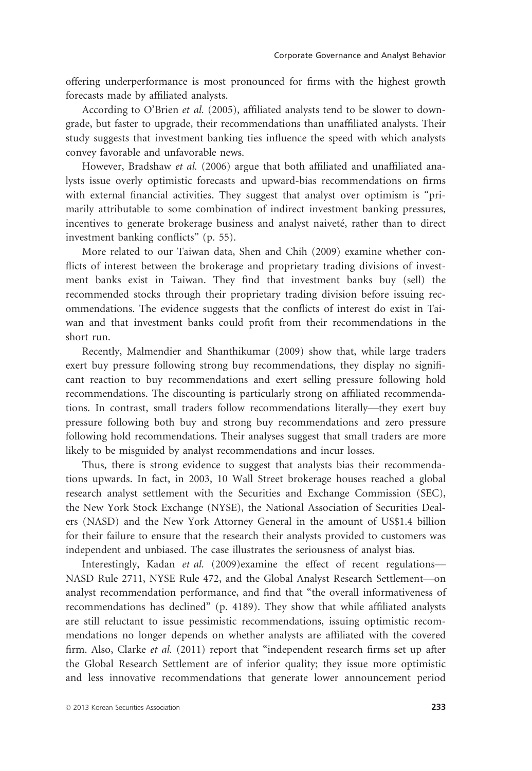offering underperformance is most pronounced for firms with the highest growth forecasts made by affiliated analysts.

According to O'Brien et al. (2005), affiliated analysts tend to be slower to downgrade, but faster to upgrade, their recommendations than unaffiliated analysts. Their study suggests that investment banking ties influence the speed with which analysts convey favorable and unfavorable news.

However, Bradshaw et al. (2006) argue that both affiliated and unaffiliated analysts issue overly optimistic forecasts and upward-bias recommendations on firms with external financial activities. They suggest that analyst over optimism is "primarily attributable to some combination of indirect investment banking pressures, incentives to generate brokerage business and analyst naiveté, rather than to direct investment banking conflicts" (p. 55).

More related to our Taiwan data, Shen and Chih (2009) examine whether conflicts of interest between the brokerage and proprietary trading divisions of investment banks exist in Taiwan. They find that investment banks buy (sell) the recommended stocks through their proprietary trading division before issuing recommendations. The evidence suggests that the conflicts of interest do exist in Taiwan and that investment banks could profit from their recommendations in the short run.

Recently, Malmendier and Shanthikumar (2009) show that, while large traders exert buy pressure following strong buy recommendations, they display no significant reaction to buy recommendations and exert selling pressure following hold recommendations. The discounting is particularly strong on affiliated recommendations. In contrast, small traders follow recommendations literally—they exert buy pressure following both buy and strong buy recommendations and zero pressure following hold recommendations. Their analyses suggest that small traders are more likely to be misguided by analyst recommendations and incur losses.

Thus, there is strong evidence to suggest that analysts bias their recommendations upwards. In fact, in 2003, 10 Wall Street brokerage houses reached a global research analyst settlement with the Securities and Exchange Commission (SEC), the New York Stock Exchange (NYSE), the National Association of Securities Dealers (NASD) and the New York Attorney General in the amount of US\$1.4 billion for their failure to ensure that the research their analysts provided to customers was independent and unbiased. The case illustrates the seriousness of analyst bias.

Interestingly, Kadan et al. (2009)examine the effect of recent regulations— NASD Rule 2711, NYSE Rule 472, and the Global Analyst Research Settlement—on analyst recommendation performance, and find that "the overall informativeness of recommendations has declined" (p. 4189). They show that while affiliated analysts are still reluctant to issue pessimistic recommendations, issuing optimistic recommendations no longer depends on whether analysts are affiliated with the covered firm. Also, Clarke et al. (2011) report that "independent research firms set up after the Global Research Settlement are of inferior quality; they issue more optimistic and less innovative recommendations that generate lower announcement period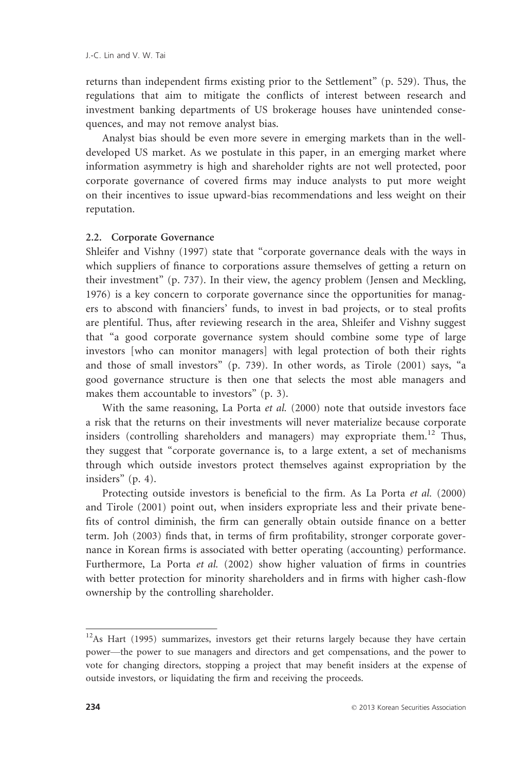returns than independent firms existing prior to the Settlement" (p. 529). Thus, the regulations that aim to mitigate the conflicts of interest between research and investment banking departments of US brokerage houses have unintended consequences, and may not remove analyst bias.

Analyst bias should be even more severe in emerging markets than in the welldeveloped US market. As we postulate in this paper, in an emerging market where information asymmetry is high and shareholder rights are not well protected, poor corporate governance of covered firms may induce analysts to put more weight on their incentives to issue upward-bias recommendations and less weight on their reputation.

## 2.2. Corporate Governance

Shleifer and Vishny (1997) state that "corporate governance deals with the ways in which suppliers of finance to corporations assure themselves of getting a return on their investment" (p. 737). In their view, the agency problem (Jensen and Meckling, 1976) is a key concern to corporate governance since the opportunities for managers to abscond with financiers' funds, to invest in bad projects, or to steal profits are plentiful. Thus, after reviewing research in the area, Shleifer and Vishny suggest that "a good corporate governance system should combine some type of large investors [who can monitor managers] with legal protection of both their rights and those of small investors" (p. 739). In other words, as Tirole (2001) says, "a good governance structure is then one that selects the most able managers and makes them accountable to investors" (p. 3).

With the same reasoning, La Porta et al. (2000) note that outside investors face a risk that the returns on their investments will never materialize because corporate insiders (controlling shareholders and managers) may expropriate them.<sup>12</sup> Thus, they suggest that "corporate governance is, to a large extent, a set of mechanisms through which outside investors protect themselves against expropriation by the insiders" (p. 4).

Protecting outside investors is beneficial to the firm. As La Porta et al. (2000) and Tirole (2001) point out, when insiders expropriate less and their private benefits of control diminish, the firm can generally obtain outside finance on a better term. Joh (2003) finds that, in terms of firm profitability, stronger corporate governance in Korean firms is associated with better operating (accounting) performance. Furthermore, La Porta et al. (2002) show higher valuation of firms in countries with better protection for minority shareholders and in firms with higher cash-flow ownership by the controlling shareholder.

 $12$ As Hart (1995) summarizes, investors get their returns largely because they have certain power—the power to sue managers and directors and get compensations, and the power to vote for changing directors, stopping a project that may benefit insiders at the expense of outside investors, or liquidating the firm and receiving the proceeds.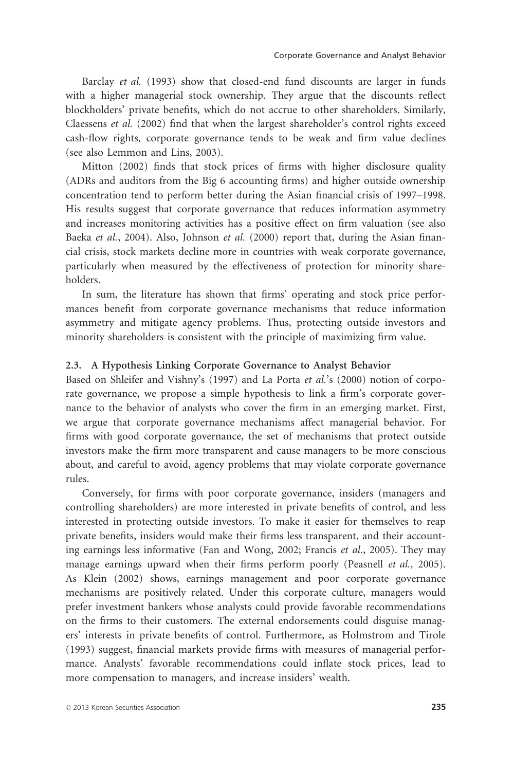Barclay et al. (1993) show that closed-end fund discounts are larger in funds with a higher managerial stock ownership. They argue that the discounts reflect blockholders' private benefits, which do not accrue to other shareholders. Similarly, Claessens et al. (2002) find that when the largest shareholder's control rights exceed cash-flow rights, corporate governance tends to be weak and firm value declines (see also Lemmon and Lins, 2003).

Mitton (2002) finds that stock prices of firms with higher disclosure quality (ADRs and auditors from the Big 6 accounting firms) and higher outside ownership concentration tend to perform better during the Asian financial crisis of 1997–1998. His results suggest that corporate governance that reduces information asymmetry and increases monitoring activities has a positive effect on firm valuation (see also Baeka et al., 2004). Also, Johnson et al. (2000) report that, during the Asian financial crisis, stock markets decline more in countries with weak corporate governance, particularly when measured by the effectiveness of protection for minority shareholders.

In sum, the literature has shown that firms' operating and stock price performances benefit from corporate governance mechanisms that reduce information asymmetry and mitigate agency problems. Thus, protecting outside investors and minority shareholders is consistent with the principle of maximizing firm value.

## 2.3. A Hypothesis Linking Corporate Governance to Analyst Behavior

Based on Shleifer and Vishny's (1997) and La Porta et al.'s (2000) notion of corporate governance, we propose a simple hypothesis to link a firm's corporate governance to the behavior of analysts who cover the firm in an emerging market. First, we argue that corporate governance mechanisms affect managerial behavior. For firms with good corporate governance, the set of mechanisms that protect outside investors make the firm more transparent and cause managers to be more conscious about, and careful to avoid, agency problems that may violate corporate governance rules.

Conversely, for firms with poor corporate governance, insiders (managers and controlling shareholders) are more interested in private benefits of control, and less interested in protecting outside investors. To make it easier for themselves to reap private benefits, insiders would make their firms less transparent, and their accounting earnings less informative (Fan and Wong, 2002; Francis et al., 2005). They may manage earnings upward when their firms perform poorly (Peasnell et al., 2005). As Klein (2002) shows, earnings management and poor corporate governance mechanisms are positively related. Under this corporate culture, managers would prefer investment bankers whose analysts could provide favorable recommendations on the firms to their customers. The external endorsements could disguise managers' interests in private benefits of control. Furthermore, as Holmstrom and Tirole (1993) suggest, financial markets provide firms with measures of managerial performance. Analysts' favorable recommendations could inflate stock prices, lead to more compensation to managers, and increase insiders' wealth.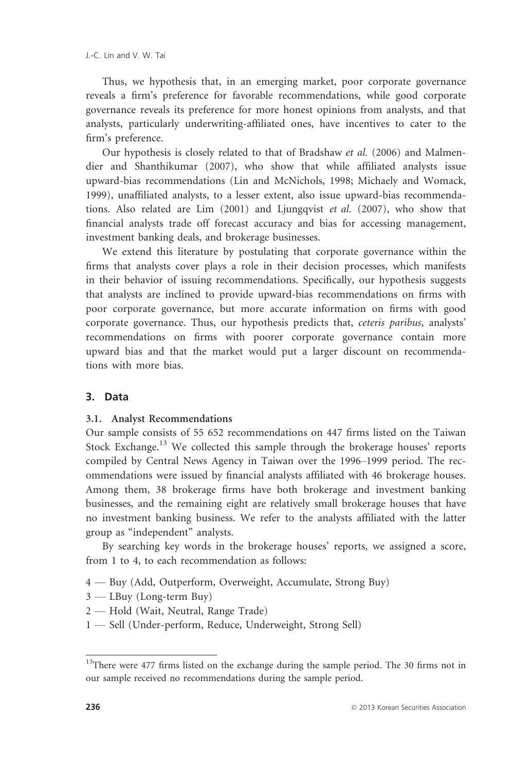Thus, we hypothesis that, in an emerging market, poor corporate governance reveals a firm's preference for favorable recommendations, while good corporate governance reveals its preference for more honest opinions from analysts, and that analysts, particularly underwriting-affiliated ones, have incentives to cater to the firm's preference.

Our hypothesis is closely related to that of Bradshaw et al. (2006) and Malmendier and Shanthikumar (2007), who show that while affiliated analysts issue upward-bias recommendations (Lin and McNichols, 1998; Michaely and Womack, 1999), unaffiliated analysts, to a lesser extent, also issue upward-bias recommendations. Also related are Lim (2001) and Ljungqvist et al. (2007), who show that financial analysts trade off forecast accuracy and bias for accessing management, investment banking deals, and brokerage businesses.

We extend this literature by postulating that corporate governance within the firms that analysts cover plays a role in their decision processes, which manifests in their behavior of issuing recommendations. Specifically, our hypothesis suggests that analysts are inclined to provide upward-bias recommendations on firms with poor corporate governance, but more accurate information on firms with good corporate governance. Thus, our hypothesis predicts that, ceteris paribus, analysts' recommendations on firms with poorer corporate governance contain more upward bias and that the market would put a larger discount on recommendations with more bias.

# 3. Data

## 3.1. Analyst Recommendations

Our sample consists of 55 652 recommendations on 447 firms listed on the Taiwan Stock Exchange.<sup>13</sup> We collected this sample through the brokerage houses' reports compiled by Central News Agency in Taiwan over the 1996–1999 period. The recommendations were issued by financial analysts affiliated with 46 brokerage houses. Among them, 38 brokerage firms have both brokerage and investment banking businesses, and the remaining eight are relatively small brokerage houses that have no investment banking business. We refer to the analysts affiliated with the latter group as "independent" analysts.

By searching key words in the brokerage houses' reports, we assigned a score, from 1 to 4, to each recommendation as follows:

- 4 Buy (Add, Outperform, Overweight, Accumulate, Strong Buy)
- 3 LBuy (Long-term Buy)
- 2 Hold (Wait, Neutral, Range Trade)
- 1 Sell (Under-perform, Reduce, Underweight, Strong Sell)

<sup>&</sup>lt;sup>13</sup>There were 477 firms listed on the exchange during the sample period. The 30 firms not in our sample received no recommendations during the sample period.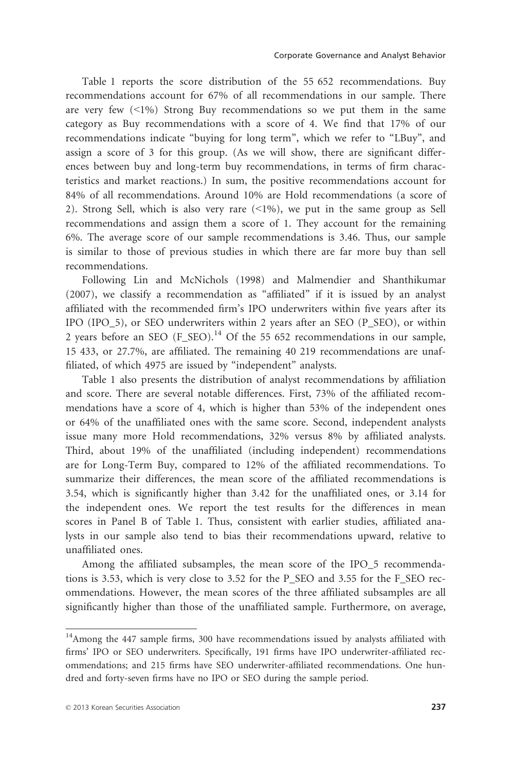Table 1 reports the score distribution of the 55 652 recommendations. Buy recommendations account for 67% of all recommendations in our sample. There are very few  $(\leq1\%)$  Strong Buy recommendations so we put them in the same category as Buy recommendations with a score of 4. We find that 17% of our recommendations indicate "buying for long term", which we refer to "LBuy", and assign a score of 3 for this group. (As we will show, there are significant differences between buy and long-term buy recommendations, in terms of firm characteristics and market reactions.) In sum, the positive recommendations account for 84% of all recommendations. Around 10% are Hold recommendations (a score of 2). Strong Sell, which is also very rare (<1%), we put in the same group as Sell recommendations and assign them a score of 1. They account for the remaining 6%. The average score of our sample recommendations is 3.46. Thus, our sample is similar to those of previous studies in which there are far more buy than sell recommendations.

Following Lin and McNichols (1998) and Malmendier and Shanthikumar (2007), we classify a recommendation as "affiliated" if it is issued by an analyst affiliated with the recommended firm's IPO underwriters within five years after its IPO (IPO\_5), or SEO underwriters within 2 years after an SEO (P\_SEO), or within 2 years before an SEO (F\_SEO).<sup>14</sup> Of the 55 652 recommendations in our sample, 15 433, or 27.7%, are affiliated. The remaining 40 219 recommendations are unaffiliated, of which 4975 are issued by "independent" analysts.

Table 1 also presents the distribution of analyst recommendations by affiliation and score. There are several notable differences. First, 73% of the affiliated recommendations have a score of 4, which is higher than 53% of the independent ones or 64% of the unaffiliated ones with the same score. Second, independent analysts issue many more Hold recommendations, 32% versus 8% by affiliated analysts. Third, about 19% of the unaffiliated (including independent) recommendations are for Long-Term Buy, compared to 12% of the affiliated recommendations. To summarize their differences, the mean score of the affiliated recommendations is 3.54, which is significantly higher than 3.42 for the unaffiliated ones, or 3.14 for the independent ones. We report the test results for the differences in mean scores in Panel B of Table 1. Thus, consistent with earlier studies, affiliated analysts in our sample also tend to bias their recommendations upward, relative to unaffiliated ones.

Among the affiliated subsamples, the mean score of the IPO\_5 recommendations is 3.53, which is very close to 3.52 for the P\_SEO and 3.55 for the F\_SEO recommendations. However, the mean scores of the three affiliated subsamples are all significantly higher than those of the unaffiliated sample. Furthermore, on average,

 $14$ Among the 447 sample firms, 300 have recommendations issued by analysts affiliated with firms' IPO or SEO underwriters. Specifically, 191 firms have IPO underwriter-affiliated recommendations; and 215 firms have SEO underwriter-affiliated recommendations. One hundred and forty-seven firms have no IPO or SEO during the sample period.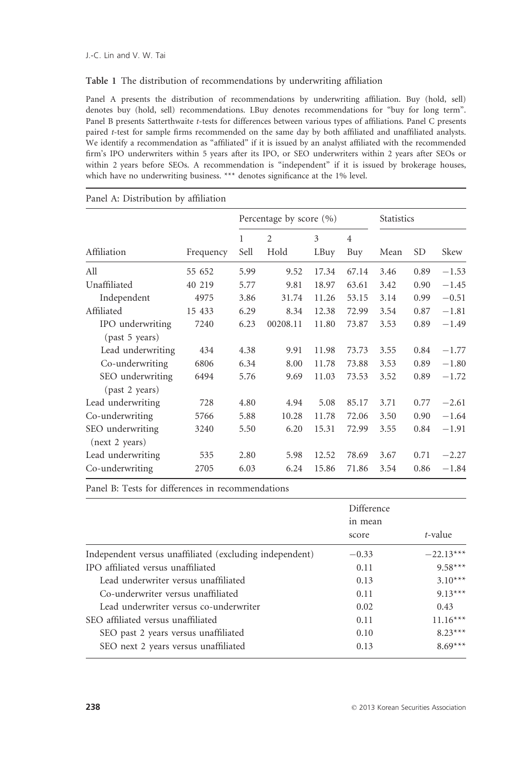Table 1 The distribution of recommendations by underwriting affiliation

Panel A presents the distribution of recommendations by underwriting affiliation. Buy (hold, sell) denotes buy (hold, sell) recommendations. LBuy denotes recommendations for "buy for long term". Panel B presents Satterthwaite t-tests for differences between various types of affiliations. Panel C presents paired t-test for sample firms recommended on the same day by both affiliated and unaffiliated analysts. We identify a recommendation as "affiliated" if it is issued by an analyst affiliated with the recommended firm's IPO underwriters within 5 years after its IPO, or SEO underwriters within 2 years after SEOs or within 2 years before SEOs. A recommendation is "independent" if it is issued by brokerage houses, which have no underwriting business. \*\*\* denotes significance at the 1% level.

|                   |           |           | Percentage by score (%)             |           |          | <b>Statistics</b> |           |         |
|-------------------|-----------|-----------|-------------------------------------|-----------|----------|-------------------|-----------|---------|
| Affiliation       | Frequency | 1<br>Sell | $\mathcal{D}_{\mathcal{L}}$<br>Hold | 3<br>LBuy | 4<br>Buy | Mean              | <b>SD</b> | Skew    |
| All               | 55 652    | 5.99      | 9.52                                | 17.34     | 67.14    | 3.46              | 0.89      | $-1.53$ |
| Unaffiliated      | 40 219    | 5.77      | 9.81                                | 18.97     | 63.61    | 3.42              | 0.90      | $-1.45$ |
| Independent       | 4975      | 3.86      | 31.74                               | 11.26     | 53.15    | 3.14              | 0.99      | $-0.51$ |
| Affiliated        | 15 433    | 6.29      | 8.34                                | 12.38     | 72.99    | 3.54              | 0.87      | $-1.81$ |
| IPO underwriting  | 7240      | 6.23      | 00208.11                            | 11.80     | 73.87    | 3.53              | 0.89      | $-1.49$ |
| (past 5 years)    |           |           |                                     |           |          |                   |           |         |
| Lead underwriting | 434       | 4.38      | 9.91                                | 11.98     | 73.73    | 3.55              | 0.84      | $-1.77$ |
| Co-underwriting   | 6806      | 6.34      | 8.00                                | 11.78     | 73.88    | 3.53              | 0.89      | $-1.80$ |
| SEO underwriting  | 6494      | 5.76      | 9.69                                | 11.03     | 73.53    | 3.52              | 0.89      | $-1.72$ |
| (past 2 years)    |           |           |                                     |           |          |                   |           |         |
| Lead underwriting | 728       | 4.80      | 4.94                                | 5.08      | 85.17    | 3.71              | 0.77      | $-2.61$ |
| Co-underwriting   | 5766      | 5.88      | 10.28                               | 11.78     | 72.06    | 3.50              | 0.90      | $-1.64$ |
| SEO underwriting  | 3240      | 5.50      | 6.20                                | 15.31     | 72.99    | 3.55              | 0.84      | $-1.91$ |
| (next 2 years)    |           |           |                                     |           |          |                   |           |         |
| Lead underwriting | 535       | 2.80      | 5.98                                | 12.52     | 78.69    | 3.67              | 0.71      | $-2.27$ |
| Co-underwriting   | 2705      | 6.03      | 6.24                                | 15.86     | 71.86    | 3.54              | 0.86      | $-1.84$ |

Panel A: Distribution by affiliation

Panel B: Tests for differences in recommendations

|                                                         | Difference<br>in mean<br>score | t-value     |
|---------------------------------------------------------|--------------------------------|-------------|
| Independent versus unaffiliated (excluding independent) | $-0.33$                        | $-22.13***$ |
| IPO affiliated versus unaffiliated                      | 0.11                           | $9.58***$   |
| Lead underwriter versus unaffiliated                    | 0.13                           | $3.10***$   |
| Co-underwriter versus unaffiliated                      | 0.11                           | $9.13***$   |
| Lead underwriter versus co-underwriter                  | 0.02                           | 0.43        |
| SEO affiliated versus unaffiliated                      | 0.11                           | $11.16***$  |
| SEO past 2 years versus unaffiliated                    | 0.10                           | $8.23***$   |
| SEO next 2 years versus unaffiliated                    | 0.13                           | $8.69***$   |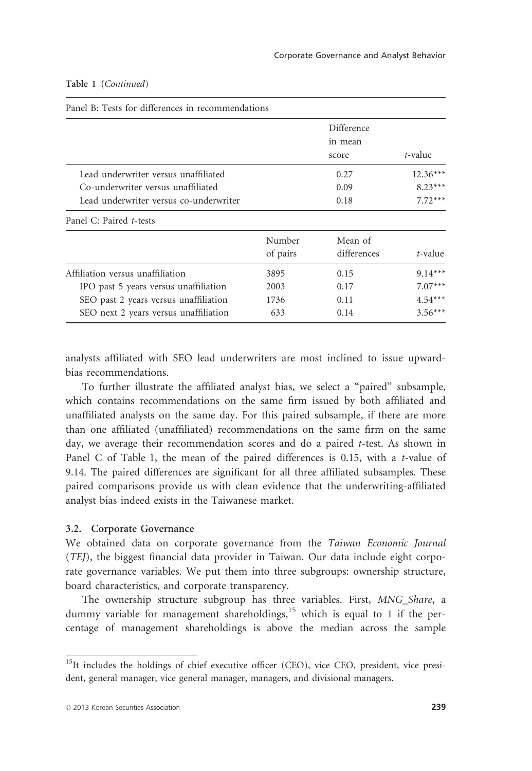| Panel B: Tests for differences in recommendations |                    |                                |            |
|---------------------------------------------------|--------------------|--------------------------------|------------|
|                                                   |                    | Difference<br>in mean<br>score | t-value    |
| Lead underwriter versus unaffiliated              |                    | 0.27                           | $12.36***$ |
| Co-underwriter versus unaffiliated                |                    | 0.09                           | $8.23***$  |
| Lead underwriter versus co-underwriter            |                    | 0.18                           | $7.72***$  |
| Panel C: Paired t-tests                           |                    |                                |            |
|                                                   | Number<br>of pairs | Mean of<br>differences         | t-value    |
| Affiliation versus unaffiliation                  | 3895               | 0.15                           | $9.14***$  |
| IPO past 5 years versus unaffiliation             | 2003               | 0.17                           | $7.07***$  |
| SEO past 2 years versus unaffiliation             | 1736               | 0.11                           | $4.54***$  |
| SEO next 2 years versus unaffiliation             | 633                | 0.14                           | $3.56***$  |

#### Table 1 (Continued)

analysts affiliated with SEO lead underwriters are most inclined to issue upwardbias recommendations.

To further illustrate the affiliated analyst bias, we select a "paired" subsample, which contains recommendations on the same firm issued by both affiliated and unaffiliated analysts on the same day. For this paired subsample, if there are more than one affiliated (unaffiliated) recommendations on the same firm on the same day, we average their recommendation scores and do a paired t-test. As shown in Panel C of Table 1, the mean of the paired differences is 0.15, with a t-value of 9.14. The paired differences are significant for all three affiliated subsamples. These paired comparisons provide us with clean evidence that the underwriting-affiliated analyst bias indeed exists in the Taiwanese market.

# 3.2. Corporate Governance

We obtained data on corporate governance from the Taiwan Economic Journal (TEJ), the biggest financial data provider in Taiwan. Our data include eight corporate governance variables. We put them into three subgroups: ownership structure, board characteristics, and corporate transparency.

The ownership structure subgroup has three variables. First, MNG\_Share, a dummy variable for management shareholdings,<sup>15</sup> which is equal to 1 if the percentage of management shareholdings is above the median across the sample

<sup>&</sup>lt;sup>15</sup>It includes the holdings of chief executive officer (CEO), vice CEO, president, vice president, general manager, vice general manager, managers, and divisional managers.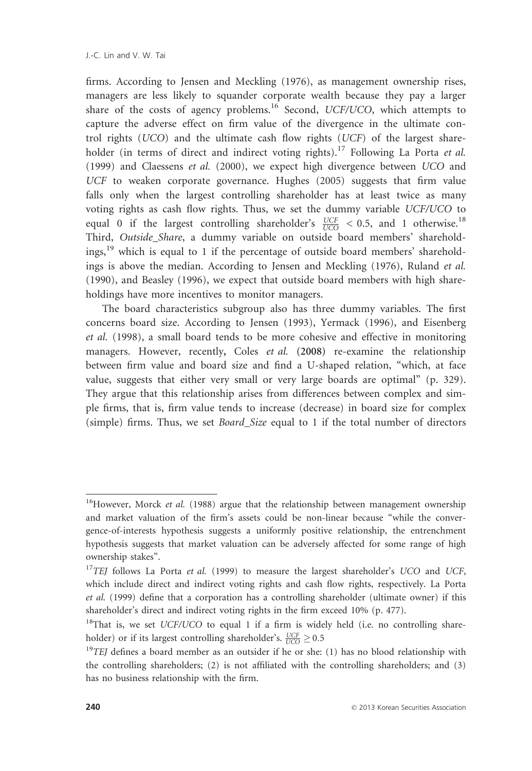firms. According to Jensen and Meckling (1976), as management ownership rises, managers are less likely to squander corporate wealth because they pay a larger share of the costs of agency problems.<sup>16</sup> Second, UCF/UCO, which attempts to capture the adverse effect on firm value of the divergence in the ultimate control rights (UCO) and the ultimate cash flow rights (UCF) of the largest shareholder (in terms of direct and indirect voting rights).<sup>17</sup> Following La Porta et al. (1999) and Claessens et al. (2000), we expect high divergence between UCO and UCF to weaken corporate governance. Hughes (2005) suggests that firm value falls only when the largest controlling shareholder has at least twice as many voting rights as cash flow rights. Thus, we set the dummy variable UCF/UCO to equal 0 if the largest controlling shareholder's  $\frac{UCF}{UCO}$  < 0.5, and 1 otherwise.<sup>18</sup> Third, Outside\_Share, a dummy variable on outside board members' shareholdings,<sup>19</sup> which is equal to 1 if the percentage of outside board members' shareholdings is above the median. According to Jensen and Meckling (1976), Ruland et al. (1990), and Beasley (1996), we expect that outside board members with high shareholdings have more incentives to monitor managers.

The board characteristics subgroup also has three dummy variables. The first concerns board size. According to Jensen (1993), Yermack (1996), and Eisenberg et al. (1998), a small board tends to be more cohesive and effective in monitoring managers. However, recently, Coles et al. (2008) re-examine the relationship between firm value and board size and find a U-shaped relation, "which, at face value, suggests that either very small or very large boards are optimal" (p. 329). They argue that this relationship arises from differences between complex and simple firms, that is, firm value tends to increase (decrease) in board size for complex (simple) firms. Thus, we set *Board Size* equal to 1 if the total number of directors

<sup>&</sup>lt;sup>16</sup>However, Morck et al. (1988) argue that the relationship between management ownership and market valuation of the firm's assets could be non-linear because "while the convergence-of-interests hypothesis suggests a uniformly positive relationship, the entrenchment hypothesis suggests that market valuation can be adversely affected for some range of high ownership stakes".

<sup>&</sup>lt;sup>17</sup>TEJ follows La Porta et al. (1999) to measure the largest shareholder's UCO and UCF, which include direct and indirect voting rights and cash flow rights, respectively. La Porta et al. (1999) define that a corporation has a controlling shareholder (ultimate owner) if this shareholder's direct and indirect voting rights in the firm exceed 10% (p. 477).

<sup>&</sup>lt;sup>18</sup>That is, we set UCF/UCO to equal 1 if a firm is widely held (i.e. no controlling shareholder) or if its largest controlling shareholder's.  $\frac{UCF}{UCO} \geq 0.5$ 

 $19$ TEJ defines a board member as an outsider if he or she: (1) has no blood relationship with the controlling shareholders; (2) is not affiliated with the controlling shareholders; and (3) has no business relationship with the firm.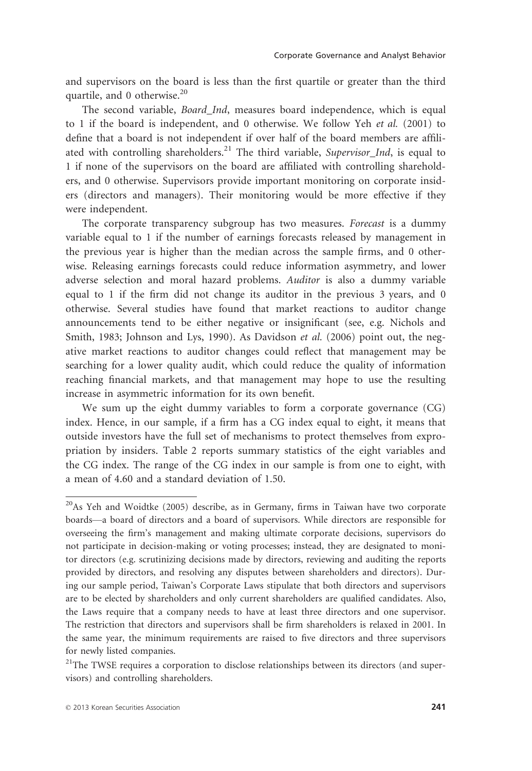and supervisors on the board is less than the first quartile or greater than the third quartile, and 0 otherwise. $20$ 

The second variable, *Board Ind*, measures board independence, which is equal to 1 if the board is independent, and 0 otherwise. We follow Yeh et al. (2001) to define that a board is not independent if over half of the board members are affiliated with controlling shareholders.<sup>21</sup> The third variable, Supervisor Ind, is equal to 1 if none of the supervisors on the board are affiliated with controlling shareholders, and 0 otherwise. Supervisors provide important monitoring on corporate insiders (directors and managers). Their monitoring would be more effective if they were independent.

The corporate transparency subgroup has two measures. Forecast is a dummy variable equal to 1 if the number of earnings forecasts released by management in the previous year is higher than the median across the sample firms, and 0 otherwise. Releasing earnings forecasts could reduce information asymmetry, and lower adverse selection and moral hazard problems. Auditor is also a dummy variable equal to 1 if the firm did not change its auditor in the previous 3 years, and 0 otherwise. Several studies have found that market reactions to auditor change announcements tend to be either negative or insignificant (see, e.g. Nichols and Smith, 1983; Johnson and Lys, 1990). As Davidson et al. (2006) point out, the negative market reactions to auditor changes could reflect that management may be searching for a lower quality audit, which could reduce the quality of information reaching financial markets, and that management may hope to use the resulting increase in asymmetric information for its own benefit.

We sum up the eight dummy variables to form a corporate governance (CG) index. Hence, in our sample, if a firm has a CG index equal to eight, it means that outside investors have the full set of mechanisms to protect themselves from expropriation by insiders. Table 2 reports summary statistics of the eight variables and the CG index. The range of the CG index in our sample is from one to eight, with a mean of 4.60 and a standard deviation of 1.50.

<sup>&</sup>lt;sup>20</sup>As Yeh and Woidtke (2005) describe, as in Germany, firms in Taiwan have two corporate boards—a board of directors and a board of supervisors. While directors are responsible for overseeing the firm's management and making ultimate corporate decisions, supervisors do not participate in decision-making or voting processes; instead, they are designated to monitor directors (e.g. scrutinizing decisions made by directors, reviewing and auditing the reports provided by directors, and resolving any disputes between shareholders and directors). During our sample period, Taiwan's Corporate Laws stipulate that both directors and supervisors are to be elected by shareholders and only current shareholders are qualified candidates. Also, the Laws require that a company needs to have at least three directors and one supervisor. The restriction that directors and supervisors shall be firm shareholders is relaxed in 2001. In the same year, the minimum requirements are raised to five directors and three supervisors for newly listed companies.

<sup>&</sup>lt;sup>21</sup>The TWSE requires a corporation to disclose relationships between its directors (and supervisors) and controlling shareholders.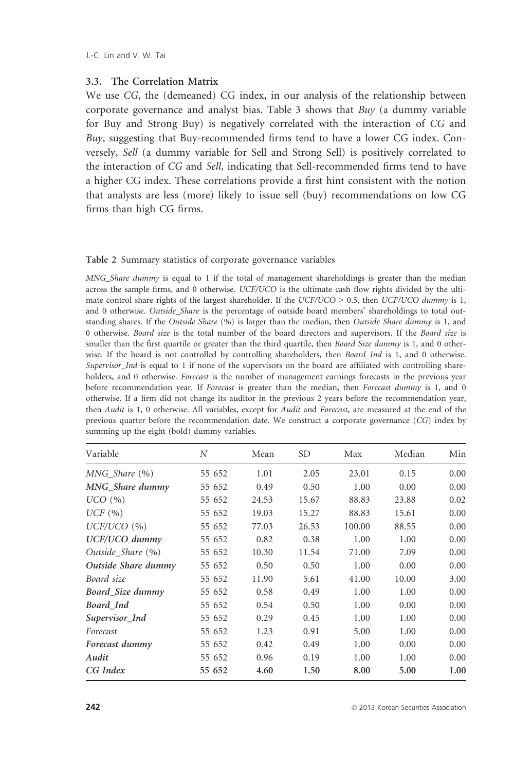## 3.3. The Correlation Matrix

We use CG, the (demeaned) CG index, in our analysis of the relationship between corporate governance and analyst bias. Table 3 shows that  $Buy$  (a dummy variable for Buy and Strong Buy) is negatively correlated with the interaction of CG and Buy, suggesting that Buy-recommended firms tend to have a lower CG index. Conversely, Sell (a dummy variable for Sell and Strong Sell) is positively correlated to the interaction of CG and Sell, indicating that Sell-recommended firms tend to have a higher CG index. These correlations provide a first hint consistent with the notion that analysts are less (more) likely to issue sell (buy) recommendations on low CG firms than high CG firms.

#### Table 2 Summary statistics of corporate governance variables

MNG Share dummy is equal to 1 if the total of management shareholdings is greater than the median across the sample firms, and 0 otherwise. UCF/UCO is the ultimate cash flow rights divided by the ultimate control share rights of the largest shareholder. If the  $UCF/UCO > 0.5$ , then  $UCF/UCO$  dummy is 1, and 0 otherwise. Outside\_Share is the percentage of outside board members' shareholdings to total outstanding shares. If the Outside Share (%) is larger than the median, then Outside Share dummy is 1, and 0 otherwise. Board size is the total number of the board directors and supervisors. If the Board size is smaller than the first quartile or greater than the third quartile, then *Board Size dummy* is 1, and 0 otherwise. If the board is not controlled by controlling shareholders, then Board Ind is 1, and 0 otherwise. Supervisor\_Ind is equal to 1 if none of the supervisors on the board are affiliated with controlling shareholders, and 0 otherwise. Forecast is the number of management earnings forecasts in the previous year before recommendation year. If Forecast is greater than the median, then Forecast dummy is 1, and 0 otherwise. If a firm did not change its auditor in the previous 2 years before the recommendation year, then Audit is 1, 0 otherwise. All variables, except for Audit and Forecast, are measured at the end of the previous quarter before the recommendation date. We construct a corporate governance (CG) index by summing up the eight (bold) dummy variables.

| Variable            | N      | Mean  | SD.   | Max    | Median | Min  |
|---------------------|--------|-------|-------|--------|--------|------|
| $MNG\_Share(%)$     | 55 652 | 1.01  | 2.05  | 23.01  | 0.15   | 0.00 |
| MNG Share dummy     | 55 652 | 0.49  | 0.50  | 1.00   | 0.00   | 0.00 |
| UCO(%)              | 55 652 | 24.53 | 15.67 | 88.83  | 23.88  | 0.02 |
| UCF(96)             | 55 652 | 19.03 | 15.27 | 88.83  | 15.61  | 0.00 |
| $UCF/UCO$ $(\% )$   | 55 652 | 77.03 | 26.53 | 100.00 | 88.55  | 0.00 |
| UCF/UCO dummy       | 55 652 | 0.82  | 0.38  | 1.00   | 1.00   | 0.00 |
| Outside Share (%)   | 55 652 | 10.30 | 11.54 | 71.00  | 7.09   | 0.00 |
| Outside Share dummy | 55 652 | 0.50  | 0.50  | 1.00   | 0.00   | 0.00 |
| Board size          | 55 652 | 11.90 | 5.61  | 41.00  | 10.00  | 3.00 |
| Board_Size dummy    | 55 652 | 0.58  | 0.49  | 1.00   | 1.00   | 0.00 |
| Board Ind           | 55 652 | 0.54  | 0.50  | 1.00   | 0.00   | 0.00 |
| Supervisor_Ind      | 55 652 | 0.29  | 0.45  | 1.00   | 1.00   | 0.00 |
| Forecast            | 55 652 | 1.23  | 0.91  | 5.00   | 1.00   | 0.00 |
| Forecast dummy      | 55 652 | 0.42  | 0.49  | 1.00   | 0.00   | 0.00 |
| Audit               | 55 652 | 0.96  | 0.19  | 1.00   | 1.00   | 0.00 |
| CG Index            | 55 652 | 4.60  | 1.50  | 8.00   | 5.00   | 1.00 |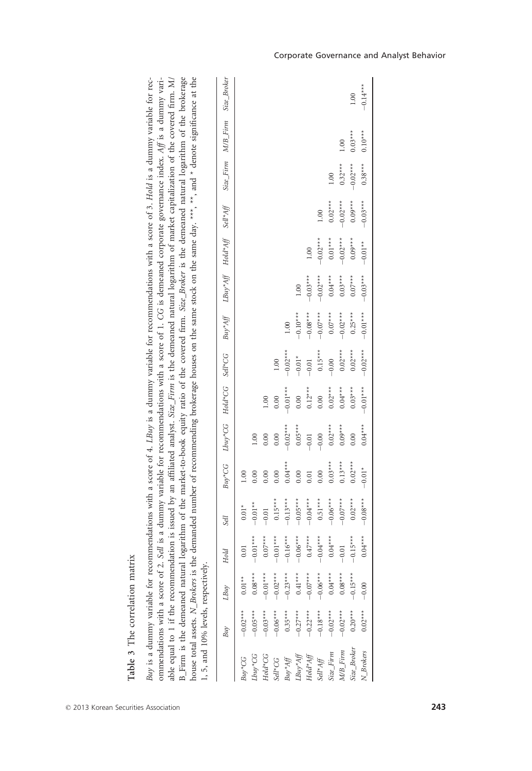|                                  | Bury       | $L\bar{B}u\gamma$ | Hold        | Sell            |           | Buy*CG Lbuy*CG Hold*CG Sell*CG Buy*Aff LBuy*Aff Hold*Aff Sell*Aff |             |               |                        |            |             |           |            | Size_Firm M/B_Firm Size_Broker |           |
|----------------------------------|------------|-------------------|-------------|-----------------|-----------|-------------------------------------------------------------------|-------------|---------------|------------------------|------------|-------------|-----------|------------|--------------------------------|-----------|
| Buy*CG                           | $-0.02***$ | $0.01**$          | 0.01        | $0.01*$         | 00.1      |                                                                   |             |               |                        |            |             |           |            |                                |           |
| Lbuy <sup>*</sup> CG             | $-0.05***$ | $0.08***$         | $-0.01**$   | $-0.01**$       | 0.00      | 0.100                                                             |             |               |                        |            |             |           |            |                                |           |
| Hold*CG                          | $-0.03***$ | $-0.01***$        | $0.07**$    | $-0.01$         | 0.00      | 0.00                                                              | 1.00        |               |                        |            |             |           |            |                                |           |
| Sel <sup>1</sup> CG              | $-0.06***$ | $-0.02**$         | $-0.01***$  | $0.15***$       | 0.00      | 0.00                                                              | 0.00        | $\frac{8}{1}$ |                        |            |             |           |            |                                |           |
| $\mathit{Buy}^\star\mathit{Aff}$ | $0.35***$  | $-0.23***$        | $-0.16$ *** | $-0.13***$      | $0.04***$ | $-0.02**$                                                         | $-0.01$ *** | $-0.02***$    | 1.00                   |            |             |           |            |                                |           |
| LBuy*Aff                         | $-0.27***$ | $0.41***$         | $-0.06**$   | $-0.05***$      | 0.00      | $0.05***$                                                         | 0.00        | $-0.01*$      | $-0.10^{***}$          |            |             |           |            |                                |           |
| $Hold*Aff$                       | $-0.22***$ | $-0.07***$        | $0.47***$   | $-0.04***$      | 0.01      | $-0.01$                                                           | $0.12***$   | $-0.01$       | $-0.08***$             | $-0.03***$ | 0.001       |           |            |                                |           |
| $Sell^*Aff$                      | $-0.18***$ | $-0.06***$        | $-0.04***$  | $0.51***$       | 0.00      | $-0.00$                                                           | 0.00        | $0.15***$     | $-0.07$ **             | $-0.02***$ | $-0.02$ *** | 00.1      |            |                                |           |
| Size_Firm                        | $-0.02***$ | $0.04***$         | $0.04***$   | $-0.06$ **      | $0.03***$ | $0.02***$                                                         | $0.02***$   | $-0.00$       | $0.07***$              | $0.04***$  | $0.01***$   | $0.02***$ | 1.00       |                                |           |
| M/B_Firm                         | $-0.02***$ | $0.08***$         | $-0.01$     | $+$ *** $0.0$ . | $0.13***$ | $0.09***$                                                         | $0.04***$   | $0.02***$     | $-0.02$ <sup>***</sup> | $0.03***$  | $-0.02***$  | $-0.02**$ | $0.32***$  | 1.00                           |           |
| Size_Broker                      | $0.20***$  | $-0.15***$        | $-0.15***$  | $0.02***$       | $0.02***$ | 0.00                                                              | $0.03***$   | $0.02***$     | $0.25***$              | $0.07***$  | $0.09***$   | $0.09***$ | $-0.02***$ | $0.03***$                      | 1.00      |
| N_Brokers                        | $0.02***$  | $-0.00$           | $0.04***$   | $-0.08**$       | $-0.01*$  | $0.04***$                                                         | $-0.01$ *** | $-0.02**$     | $-0.01$ ***            | $-0.03**$  | $-0.01**$   | $-0.03**$ | $0.38***$  | $0.10**$                       | $-0.14**$ |

Buy is a dummy variable for recommendations with a score of 4. LBuy is a dummy variable for recommendations with a score of 3. Hold is a dummy variable for recommendations with a score of 2. Sell is a dummy variable for re Buy is a dummy variable for recommendations with a score of 4. LBuy is a dummy variable for recommendations with a score of 3. Hold is a dummy variable for recommendations with a score of 2. Sell is a dummy variable for recommendations with a score of 1. CG is demeaned corporate governance index. Aff is a dummy vari-

Table 3 The correlation matrix

Table 3 The correlation matrix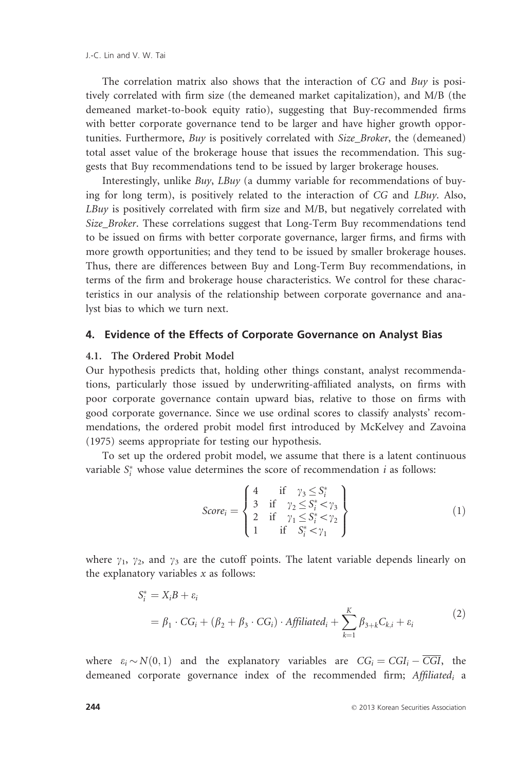The correlation matrix also shows that the interaction of  $CG$  and  $Buv$  is positively correlated with firm size (the demeaned market capitalization), and M/B (the demeaned market-to-book equity ratio), suggesting that Buy-recommended firms with better corporate governance tend to be larger and have higher growth opportunities. Furthermore, Buy is positively correlated with Size\_Broker, the (demeaned) total asset value of the brokerage house that issues the recommendation. This suggests that Buy recommendations tend to be issued by larger brokerage houses.

Interestingly, unlike  $Buy$ ,  $LByy$  (a dummy variable for recommendations of buying for long term), is positively related to the interaction of CG and LBuy. Also, LBuy is positively correlated with firm size and M/B, but negatively correlated with Size\_Broker. These correlations suggest that Long-Term Buy recommendations tend to be issued on firms with better corporate governance, larger firms, and firms with more growth opportunities; and they tend to be issued by smaller brokerage houses. Thus, there are differences between Buy and Long-Term Buy recommendations, in terms of the firm and brokerage house characteristics. We control for these characteristics in our analysis of the relationship between corporate governance and analyst bias to which we turn next.

## 4. Evidence of the Effects of Corporate Governance on Analyst Bias

## 4.1. The Ordered Probit Model

Our hypothesis predicts that, holding other things constant, analyst recommendations, particularly those issued by underwriting-affiliated analysts, on firms with poor corporate governance contain upward bias, relative to those on firms with good corporate governance. Since we use ordinal scores to classify analysts' recommendations, the ordered probit model first introduced by McKelvey and Zavoina (1975) seems appropriate for testing our hypothesis.

To set up the ordered probit model, we assume that there is a latent continuous variable  $S_i^*$  whose value determines the score of recommendation  $i$  as follows:

$$
Score_{i} = \begin{cases} 4 & \text{if } \gamma_{3} \le S_{i}^{*} \\ 3 & \text{if } \gamma_{2} \le S_{i}^{*} < \gamma_{3} \\ 2 & \text{if } \gamma_{1} \le S_{i}^{*} < \gamma_{2} \\ 1 & \text{if } S_{i}^{*} < \gamma_{1} \end{cases}
$$
 (1)

where  $\gamma_1$ ,  $\gamma_2$ , and  $\gamma_3$  are the cutoff points. The latent variable depends linearly on the explanatory variables  $x$  as follows:

$$
S_i^* = X_i B + \varepsilon_i
$$
  
=  $\beta_1 \cdot CG_i + (\beta_2 + \beta_3 \cdot CG_i) \cdot Affiliated_i + \sum_{k=1}^K \beta_{3+k} C_{k,i} + \varepsilon_i$  (2)

where  $\varepsilon_i \sim N(0, 1)$  and the explanatory variables are  $CG_i = CGI_i - \overline{CGI}$ , the demeaned corporate governance index of the recommended firm; Affiliated<sub>i</sub> a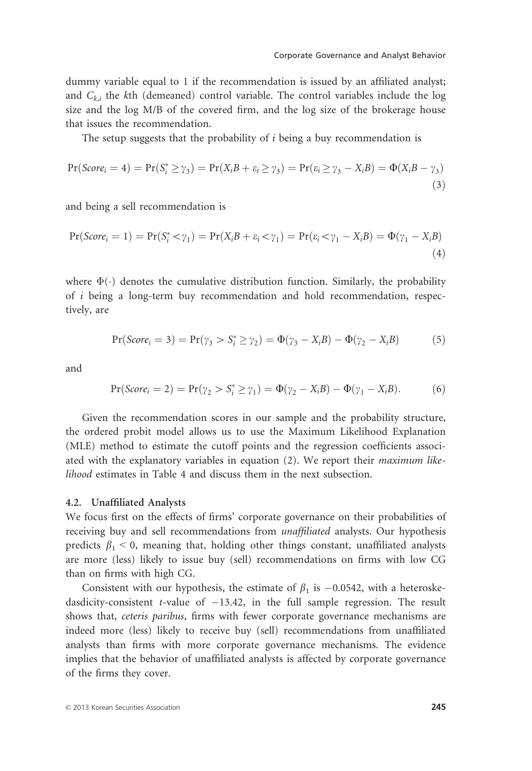dummy variable equal to 1 if the recommendation is issued by an affiliated analyst; and  $C_{k,i}$  the kth (demeaned) control variable. The control variables include the log size and the log M/B of the covered firm, and the log size of the brokerage house that issues the recommendation.

The setup suggests that the probability of  $i$  being a buy recommendation is

$$
Pr(Score_i = 4) = Pr(S_i^* \ge \gamma_3) = Pr(X_iB + \varepsilon_i \ge \gamma_3) = Pr(\varepsilon_i \ge \gamma_3 - X_iB) = \Phi(X_iB - \gamma_3)
$$
\n(3)

and being a sell recommendation is

$$
Pr(Score_i = 1) = Pr(S_i^* < \gamma_1) = Pr(X_iB + \varepsilon_i < \gamma_1) = Pr(\varepsilon_i < \gamma_1 - X_iB) = \Phi(\gamma_1 - X_iB)
$$
\n(4)

where  $\Phi(\cdot)$  denotes the cumulative distribution function. Similarly, the probability of i being a long-term buy recommendation and hold recommendation, respectively, are

$$
Pr(Score_i = 3) = Pr(\gamma_3 > S_i^* \ge \gamma_2) = \Phi(\gamma_3 - X_i B) - \Phi(\gamma_2 - X_i B)
$$
(5)

and

$$
Pr(Score_i = 2) = Pr(\gamma_2 > S_i^* \ge \gamma_1) = \Phi(\gamma_2 - X_i B) - \Phi(\gamma_1 - X_i B). \tag{6}
$$

Given the recommendation scores in our sample and the probability structure, the ordered probit model allows us to use the Maximum Likelihood Explanation (MLE) method to estimate the cutoff points and the regression coefficients associated with the explanatory variables in equation  $(2)$ . We report their *maximum like*lihood estimates in Table 4 and discuss them in the next subsection.

#### 4.2. Unaffiliated Analysts

We focus first on the effects of firms' corporate governance on their probabilities of receiving buy and sell recommendations from unaffiliated analysts. Our hypothesis predicts  $\beta_1$  < 0, meaning that, holding other things constant, unaffiliated analysts are more (less) likely to issue buy (sell) recommendations on firms with low CG than on firms with high CG.

Consistent with our hypothesis, the estimate of  $\beta_1$  is  $-0.0542$ , with a heteroskedasdicity-consistent *t*-value of  $-13.42$ , in the full sample regression. The result shows that, ceteris paribus, firms with fewer corporate governance mechanisms are indeed more (less) likely to receive buy (sell) recommendations from unaffiliated analysts than firms with more corporate governance mechanisms. The evidence implies that the behavior of unaffiliated analysts is affected by corporate governance of the firms they cover.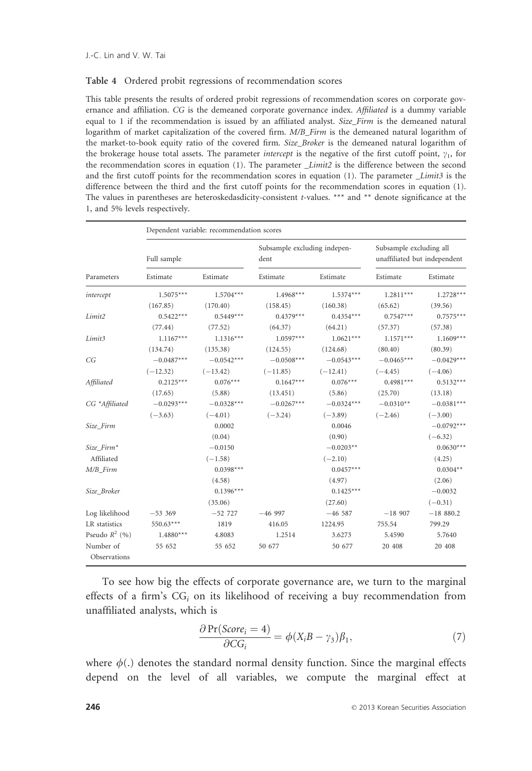#### Table 4 Ordered probit regressions of recommendation scores

This table presents the results of ordered probit regressions of recommendation scores on corporate governance and affiliation. CG is the demeaned corporate governance index. Affiliated is a dummy variable equal to 1 if the recommendation is issued by an affiliated analyst. Size\_Firm is the demeaned natural logarithm of market capitalization of the covered firm.  $M/B_F$ irm is the demeaned natural logarithm of the market-to-book equity ratio of the covered firm. Size\_Broker is the demeaned natural logarithm of the brokerage house total assets. The parameter *intercept* is the negative of the first cutoff point,  $\gamma_1$ , for the recommendation scores in equation (1). The parameter *\_Limit2* is the difference between the second and the first cutoff points for the recommendation scores in equation (1). The parameter *\_Limit3* is the difference between the third and the first cutoff points for the recommendation scores in equation (1). The values in parentheses are heteroskedasdicity-consistent t-values. \*\*\* and \*\* denote significance at the 1, and 5% levels respectively.

|                           |              | Dependent variable: recommendation scores |                                      |              |                                                         |              |
|---------------------------|--------------|-------------------------------------------|--------------------------------------|--------------|---------------------------------------------------------|--------------|
|                           | Full sample  |                                           | Subsample excluding indepen-<br>dent |              | Subsample excluding all<br>unaffiliated but independent |              |
| Parameters                | Estimate     | Estimate                                  | Estimate                             | Estimate     | Estimate                                                | Estimate     |
| intercept                 | $1.5075***$  | $1.5704***$                               | $1.4968***$                          | $1.5374***$  | $1.2811***$                                             | $1.2728***$  |
|                           | (167.85)     | (170.40)                                  | (158.45)                             | (160.38)     | (65.62)                                                 | (39.56)      |
| Limit2                    | $0.5422***$  | $0.5449***$                               | $0.4379***$                          | $0.4354***$  | $0.7547***$                                             | $0.7575***$  |
|                           | (77.44)      | (77.52)                                   | (64.37)                              | (64.21)      | (57.37)                                                 | (57.38)      |
| Limit3                    | $1.1167***$  | $1.1316***$                               | $1.0597***$                          | $1.0621***$  | $1.1571***$                                             | $1.1609***$  |
|                           | (134.74)     | (135.38)                                  | (124.55)                             | (124.68)     | (80.40)                                                 | (80.39)      |
| CG                        | $-0.0487***$ | $-0.0542***$                              | $-0.0508***$                         | $-0.0543***$ | $-0.0465***$                                            | $-0.0429***$ |
|                           | $(-12.32)$   | $(-13.42)$                                | $(-11.85)$                           | $(-12.41)$   | $(-4.45)$                                               | $(-4.06)$    |
| Affiliated                | $0.2125***$  | $0.076***$                                | $0.1647***$                          | $0.076***$   | $0.4981***$                                             | $0.5132***$  |
|                           | (17.65)      | (5.88)                                    | (13.451)                             | (5.86)       | (25.70)                                                 | (13.18)      |
| CG *Affiliated            | $-0.0293***$ | $-0.0328***$                              | $-0.0267***$                         | $-0.0324***$ | $-0.0310**$                                             | $-0.0381***$ |
|                           | $(-3.63)$    | $(-4.01)$                                 | $(-3.24)$                            | $(-3.89)$    | $(-2.46)$                                               | $(-3.00)$    |
| Size Firm                 |              | 0.0002                                    |                                      | 0.0046       |                                                         | $-0.0792***$ |
|                           |              | (0.04)                                    |                                      | (0.90)       |                                                         | $(-6.32)$    |
| Size Firm*                |              | $-0.0150$                                 |                                      | $-0.0203**$  |                                                         | $0.0630***$  |
| Affiliated                |              | $(-1.58)$                                 |                                      | $(-2.10)$    |                                                         | (4.25)       |
| M/B Firm                  |              | $0.0398***$                               |                                      | $0.0457***$  |                                                         | $0.0304**$   |
|                           |              | (4.58)                                    |                                      | (4.97)       |                                                         | (2.06)       |
| Size Broker               |              | $0.1396***$                               |                                      | $0.1425***$  |                                                         | $-0.0032$    |
|                           |              | (35.06)                                   |                                      | (27.60)      |                                                         | $(-0.31)$    |
| Log likelihood            | $-53, 369$   | $-52,727$                                 | $-4697$                              | $-46, 587$   | $-18907$                                                | $-18880.2$   |
| LR statistics             | 550.63***    | 1819                                      | 416.05                               | 1224.95      | 755.54                                                  | 799.29       |
| Pseudo $R^2$ (%)          | $1.4880***$  | 4.8083                                    | 1.2514                               | 3.6273       | 5.4590                                                  | 5.7640       |
| Number of<br>Observations | 55 652       | 55 652                                    | 50 677                               | 50 677       | 20 408                                                  | 20 408       |

To see how big the effects of corporate governance are, we turn to the marginal effects of a firm's  $CG<sub>i</sub>$  on its likelihood of receiving a buy recommendation from unaffiliated analysts, which is

$$
\frac{\partial \Pr(Score_i = 4)}{\partial CG_i} = \phi(X_iB - \gamma_3)\beta_1,\tag{7}
$$

where  $\phi(.)$  denotes the standard normal density function. Since the marginal effects depend on the level of all variables, we compute the marginal effect at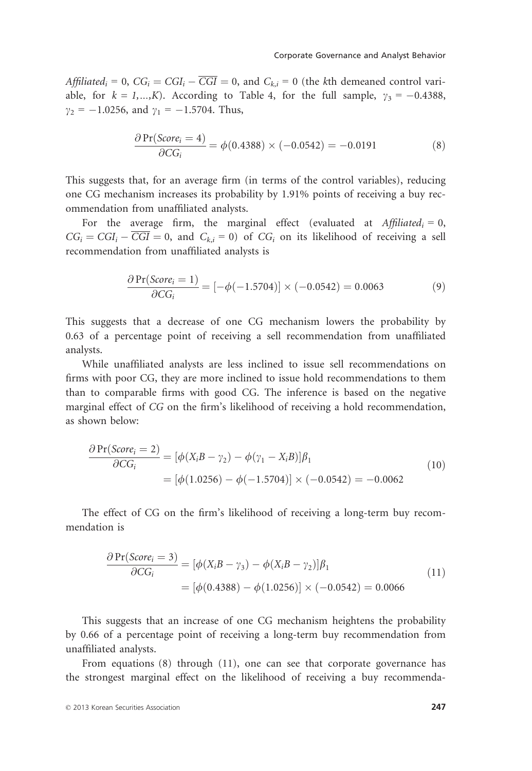Affiliated<sub>i</sub> = 0,  $CG_i = CGI_i - \overline{CGI} = 0$ , and  $C_{k,i} = 0$  (the kth demeaned control variable, for  $k = 1,...,K$ ). According to Table 4, for the full sample,  $\gamma_3 = -0.4388$ ,  $\gamma_2 = -1.0256$ , and  $\gamma_1 = -1.5704$ . Thus,

$$
\frac{\partial \Pr(Score_i = 4)}{\partial CG_i} = \phi(0.4388) \times (-0.0542) = -0.0191
$$
 (8)

This suggests that, for an average firm (in terms of the control variables), reducing one CG mechanism increases its probability by 1.91% points of receiving a buy recommendation from unaffiliated analysts.

For the average firm, the marginal effect (evaluated at Affiliated<sub>i</sub> = 0,  $CG_i = CGI_i - \overline{CGI} = 0$ , and  $C_{k,i} = 0$ ) of  $CG_i$  on its likelihood of receiving a sell recommendation from unaffiliated analysts is

$$
\frac{\partial \Pr(Score_i = 1)}{\partial CG_i} = [-\phi(-1.5704)] \times (-0.0542) = 0.0063 \tag{9}
$$

This suggests that a decrease of one CG mechanism lowers the probability by 0.63 of a percentage point of receiving a sell recommendation from unaffiliated analysts.

While unaffiliated analysts are less inclined to issue sell recommendations on firms with poor CG, they are more inclined to issue hold recommendations to them than to comparable firms with good CG. The inference is based on the negative marginal effect of CG on the firm's likelihood of receiving a hold recommendation, as shown below:

$$
\frac{\partial \Pr(Score_i = 2)}{\partial CG_i} = [\phi(X_iB - \gamma_2) - \phi(\gamma_1 - X_iB)]\beta_1
$$
  
= [\phi(1.0256) - \phi(-1.5704)] \times (-0.0542) = -0.0062 (10)

The effect of CG on the firm's likelihood of receiving a long-term buy recommendation is

$$
\frac{\partial \Pr(Score_i = 3)}{\partial CG_i} = [\phi(X_iB - \gamma_3) - \phi(X_iB - \gamma_2)]\beta_1
$$
  
=  $[\phi(0.4388) - \phi(1.0256)] \times (-0.0542) = 0.0066$  (11)

This suggests that an increase of one CG mechanism heightens the probability by 0.66 of a percentage point of receiving a long-term buy recommendation from unaffiliated analysts.

From equations (8) through (11), one can see that corporate governance has the strongest marginal effect on the likelihood of receiving a buy recommenda-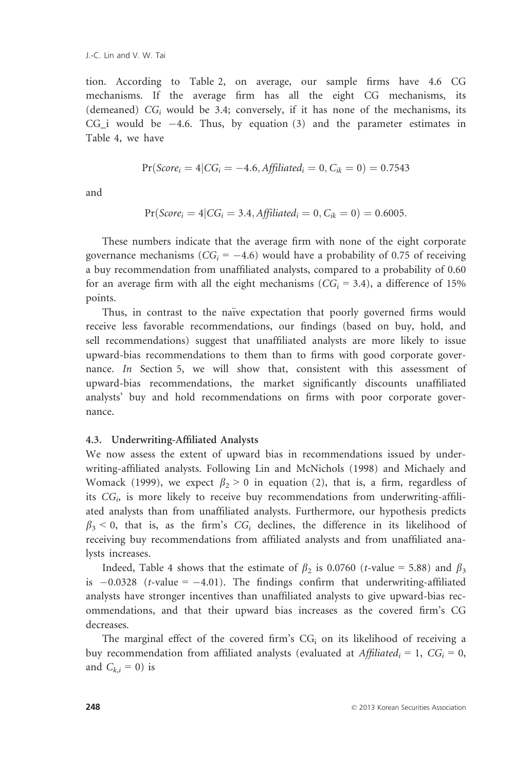tion. According to Table 2, on average, our sample firms have 4.6 CG mechanisms. If the average firm has all the eight CG mechanisms, its (demeaned)  $CG<sub>i</sub>$  would be 3.4; conversely, if it has none of the mechanisms, its CG<sub>i</sub> would be  $-4.6$ . Thus, by equation (3) and the parameter estimates in Table 4, we have

$$
Pr(Score_i = 4|CG_i = -4.6, Affiliated_i = 0, C_{ik} = 0) = 0.7543
$$

and

$$
Pr(Score_i = 4|CG_i = 3.4, Affiltated_i = 0, C_{ik} = 0) = 0.6005.
$$

These numbers indicate that the average firm with none of the eight corporate governance mechanisms ( $CG<sub>i</sub> = -4.6$ ) would have a probability of 0.75 of receiving a buy recommendation from unaffiliated analysts, compared to a probability of 0.60 for an average firm with all the eight mechanisms ( $CG<sub>i</sub> = 3.4$ ), a difference of 15% points.

Thus, in contrast to the naïve expectation that poorly governed firms would receive less favorable recommendations, our findings (based on buy, hold, and sell recommendations) suggest that unaffiliated analysts are more likely to issue upward-bias recommendations to them than to firms with good corporate governance. In Section 5, we will show that, consistent with this assessment of upward-bias recommendations, the market significantly discounts unaffiliated analysts' buy and hold recommendations on firms with poor corporate governance.

## 4.3. Underwriting-Affiliated Analysts

We now assess the extent of upward bias in recommendations issued by underwriting-affiliated analysts. Following Lin and McNichols (1998) and Michaely and Womack (1999), we expect  $\beta_2 > 0$  in equation (2), that is, a firm, regardless of its  $CG<sub>i</sub>$ , is more likely to receive buy recommendations from underwriting-affiliated analysts than from unaffiliated analysts. Furthermore, our hypothesis predicts  $\beta_3$  < 0, that is, as the firm's CG<sub>i</sub> declines, the difference in its likelihood of receiving buy recommendations from affiliated analysts and from unaffiliated analysts increases.

Indeed, Table 4 shows that the estimate of  $\beta_2$  is 0.0760 (*t*-value = 5.88) and  $\beta_3$ is  $-0.0328$  (*t*-value =  $-4.01$ ). The findings confirm that underwriting-affiliated analysts have stronger incentives than unaffiliated analysts to give upward-bias recommendations, and that their upward bias increases as the covered firm's CG decreases.

The marginal effect of the covered firm's  $CG<sub>i</sub>$  on its likelihood of receiving a buy recommendation from affiliated analysts (evaluated at Affiliated<sub>i</sub> = 1,  $CG_i = 0$ , and  $C_{k,i} = 0$ ) is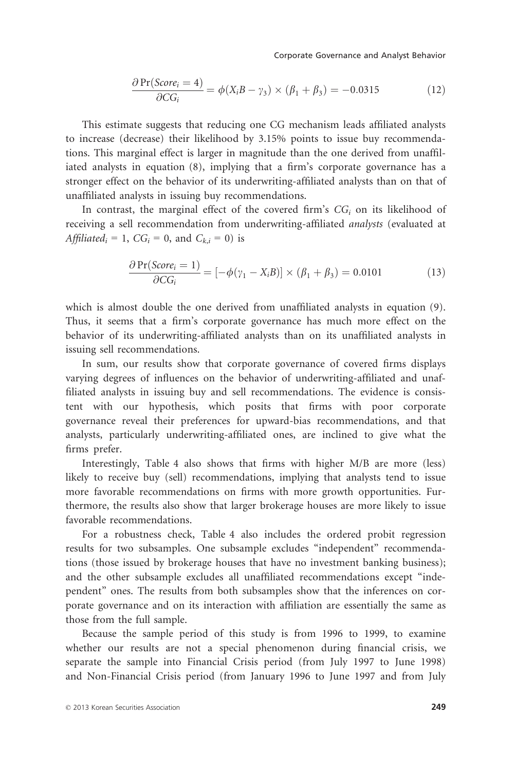Corporate Governance and Analyst Behavior

$$
\frac{\partial \Pr(Score_i = 4)}{\partial CG_i} = \phi(X_iB - \gamma_3) \times (\beta_1 + \beta_3) = -0.0315
$$
 (12)

This estimate suggests that reducing one CG mechanism leads affiliated analysts to increase (decrease) their likelihood by 3.15% points to issue buy recommendations. This marginal effect is larger in magnitude than the one derived from unaffiliated analysts in equation (8), implying that a firm's corporate governance has a stronger effect on the behavior of its underwriting-affiliated analysts than on that of unaffiliated analysts in issuing buy recommendations.

In contrast, the marginal effect of the covered firm's  $CG<sub>i</sub>$  on its likelihood of receiving a sell recommendation from underwriting-affiliated analysts (evaluated at Affiliated<sub>i</sub> = 1,  $CG_i = 0$ , and  $C_{k,i} = 0$ ) is

$$
\frac{\partial \Pr(Score_i = 1)}{\partial CG_i} = [-\phi(\gamma_1 - X_i B)] \times (\beta_1 + \beta_3) = 0.0101 \tag{13}
$$

which is almost double the one derived from unaffiliated analysts in equation (9). Thus, it seems that a firm's corporate governance has much more effect on the behavior of its underwriting-affiliated analysts than on its unaffiliated analysts in issuing sell recommendations.

In sum, our results show that corporate governance of covered firms displays varying degrees of influences on the behavior of underwriting-affiliated and unaffiliated analysts in issuing buy and sell recommendations. The evidence is consistent with our hypothesis, which posits that firms with poor corporate governance reveal their preferences for upward-bias recommendations, and that analysts, particularly underwriting-affiliated ones, are inclined to give what the firms prefer.

Interestingly, Table 4 also shows that firms with higher M/B are more (less) likely to receive buy (sell) recommendations, implying that analysts tend to issue more favorable recommendations on firms with more growth opportunities. Furthermore, the results also show that larger brokerage houses are more likely to issue favorable recommendations.

For a robustness check, Table 4 also includes the ordered probit regression results for two subsamples. One subsample excludes "independent" recommendations (those issued by brokerage houses that have no investment banking business); and the other subsample excludes all unaffiliated recommendations except "independent" ones. The results from both subsamples show that the inferences on corporate governance and on its interaction with affiliation are essentially the same as those from the full sample.

Because the sample period of this study is from 1996 to 1999, to examine whether our results are not a special phenomenon during financial crisis, we separate the sample into Financial Crisis period (from July 1997 to June 1998) and Non-Financial Crisis period (from January 1996 to June 1997 and from July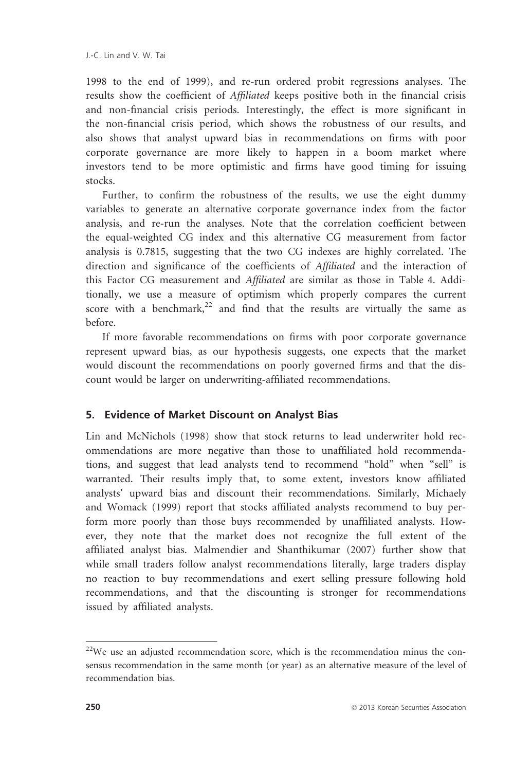1998 to the end of 1999), and re-run ordered probit regressions analyses. The results show the coefficient of Affiliated keeps positive both in the financial crisis and non-financial crisis periods. Interestingly, the effect is more significant in the non-financial crisis period, which shows the robustness of our results, and also shows that analyst upward bias in recommendations on firms with poor corporate governance are more likely to happen in a boom market where investors tend to be more optimistic and firms have good timing for issuing stocks.

Further, to confirm the robustness of the results, we use the eight dummy variables to generate an alternative corporate governance index from the factor analysis, and re-run the analyses. Note that the correlation coefficient between the equal-weighted CG index and this alternative CG measurement from factor analysis is 0.7815, suggesting that the two CG indexes are highly correlated. The direction and significance of the coefficients of Affiliated and the interaction of this Factor CG measurement and Affiliated are similar as those in Table 4. Additionally, we use a measure of optimism which properly compares the current score with a benchmark, $22$  and find that the results are virtually the same as before.

If more favorable recommendations on firms with poor corporate governance represent upward bias, as our hypothesis suggests, one expects that the market would discount the recommendations on poorly governed firms and that the discount would be larger on underwriting-affiliated recommendations.

# 5. Evidence of Market Discount on Analyst Bias

Lin and McNichols (1998) show that stock returns to lead underwriter hold recommendations are more negative than those to unaffiliated hold recommendations, and suggest that lead analysts tend to recommend "hold" when "sell" is warranted. Their results imply that, to some extent, investors know affiliated analysts' upward bias and discount their recommendations. Similarly, Michaely and Womack (1999) report that stocks affiliated analysts recommend to buy perform more poorly than those buys recommended by unaffiliated analysts. However, they note that the market does not recognize the full extent of the affiliated analyst bias. Malmendier and Shanthikumar (2007) further show that while small traders follow analyst recommendations literally, large traders display no reaction to buy recommendations and exert selling pressure following hold recommendations, and that the discounting is stronger for recommendations issued by affiliated analysts.

<sup>&</sup>lt;sup>22</sup>We use an adjusted recommendation score, which is the recommendation minus the consensus recommendation in the same month (or year) as an alternative measure of the level of recommendation bias.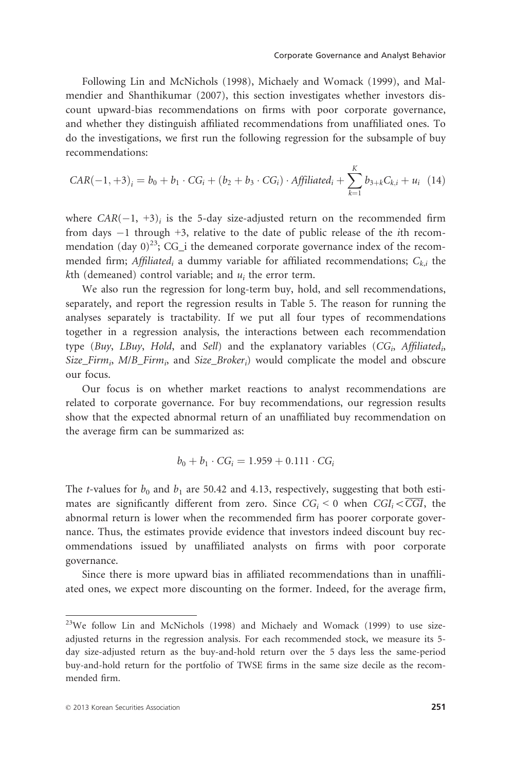Following Lin and McNichols (1998), Michaely and Womack (1999), and Malmendier and Shanthikumar (2007), this section investigates whether investors discount upward-bias recommendations on firms with poor corporate governance, and whether they distinguish affiliated recommendations from unaffiliated ones. To do the investigations, we first run the following regression for the subsample of buy recommendations:

$$
CAR(-1, +3)_i = b_0 + b_1 \cdot CG_i + (b_2 + b_3 \cdot CG_i) \cdot Affiliated_i + \sum_{k=1}^{K} b_{3+k} C_{k,i} + u_i \quad (14)
$$

where  $CAR(-1, +3)$ <sub>i</sub> is the 5-day size-adjusted return on the recommended firm from days  $-1$  through +3, relative to the date of public release of the *i*th recommendation (day  $0)^{23}$ ; CG\_i the demeaned corporate governance index of the recommended firm; Affiliated<sub>i</sub> a dummy variable for affiliated recommendations;  $C_{k,i}$  the kth (demeaned) control variable; and  $u_i$  the error term.

We also run the regression for long-term buy, hold, and sell recommendations, separately, and report the regression results in Table 5. The reason for running the analyses separately is tractability. If we put all four types of recommendations together in a regression analysis, the interactions between each recommendation type (Buy, LBuy, Hold, and Sell) and the explanatory variables ( $CG<sub>i</sub>$ , Affiliated<sub>i</sub>, Size\_Firm<sub>i</sub>,  $M/B$ \_Firm<sub>i</sub>, and Size\_Broker<sub>i</sub>) would complicate the model and obscure our focus.

Our focus is on whether market reactions to analyst recommendations are related to corporate governance. For buy recommendations, our regression results show that the expected abnormal return of an unaffiliated buy recommendation on the average firm can be summarized as:

$$
b_0 + b_1 \cdot CG_i = 1.959 + 0.111 \cdot CG_i
$$

The *t*-values for  $b_0$  and  $b_1$  are 50.42 and 4.13, respectively, suggesting that both estimates are significantly different from zero. Since  $CG_i < 0$  when  $CG_i < \overline{CGI}$ , the abnormal return is lower when the recommended firm has poorer corporate governance. Thus, the estimates provide evidence that investors indeed discount buy recommendations issued by unaffiliated analysts on firms with poor corporate governance.

Since there is more upward bias in affiliated recommendations than in unaffiliated ones, we expect more discounting on the former. Indeed, for the average firm,

 $23$ We follow Lin and McNichols (1998) and Michaely and Womack (1999) to use sizeadjusted returns in the regression analysis. For each recommended stock, we measure its 5 day size-adjusted return as the buy-and-hold return over the 5 days less the same-period buy-and-hold return for the portfolio of TWSE firms in the same size decile as the recommended firm.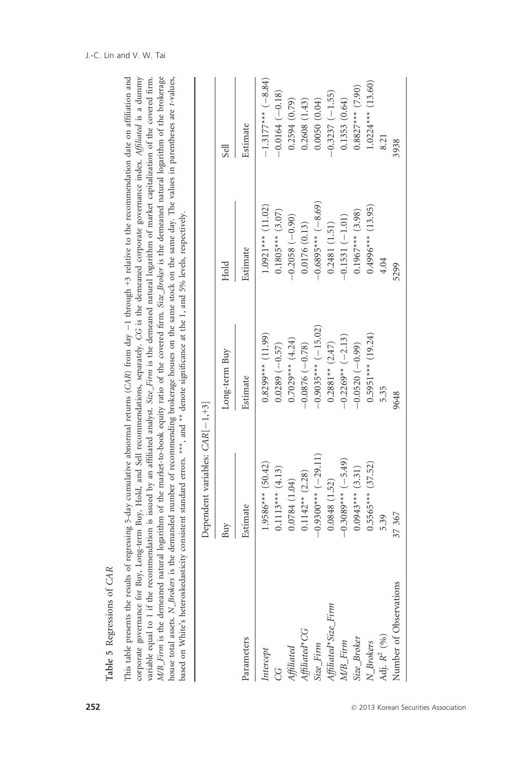|                                                                               | based on White's heteroskedasticity consistent standard errors. ***, and ** denote significance at the 1, and 5% levels, respectively. |                      |                     |                     |
|-------------------------------------------------------------------------------|----------------------------------------------------------------------------------------------------------------------------------------|----------------------|---------------------|---------------------|
|                                                                               | Dependent variables: $CAR[-1,+3]$                                                                                                      |                      |                     |                     |
|                                                                               | Вuу                                                                                                                                    | Long-term Buy        | Hold                | Sell                |
| Parameters                                                                    | Estimate                                                                                                                               | Estimate             | Estimate            | Estimate            |
| Intercept                                                                     | 1.9586*** (50.42)                                                                                                                      | $0.8299**$ (11.99)   | $1.0921***$ (11.02) | $-1.3177***(-8.84)$ |
|                                                                               | $0.1113***$ (4.13)                                                                                                                     | $0.0289(-0.57)$      | $0.1805***$ (3.07)  | $-0.0164(-0.18)$    |
| Affiliated<br>Affiliated*CG<br>Size_Firm<br>Affiliated*Size_Firm<br>Af/B_Firm | 0.0784(1.04)                                                                                                                           | $0.7029***$ (4.24)   | $-0.2058(-0.90)$    | 0.2594(0.79)        |
|                                                                               | $0.1142**$ (2.28)                                                                                                                      | $-0.0876(-0.78)$     | 0.0176(0.13)        | 0.2608(1.43)        |
|                                                                               | $-0.9300***(-29.11)$                                                                                                                   | $-0.9035***(-15.02)$ | $-0.6895***(-8.69)$ | 0.0050(0.04)        |
|                                                                               | 0.0848(1.52)                                                                                                                           | $0.2881**$ (2.47)    | 0.2481(1.51)        | $-0.3237(-1.55)$    |
|                                                                               | $-0.3089***(-5.49)$                                                                                                                    | $-0.2269**(-2.13)$   | $-0.1531(-1.01)$    | 0.1353(0.64)        |
| Size_Broker                                                                   | $0.0943***$ (3.31)                                                                                                                     | $-0.0520(-0.99)$     | $0.1967***$ (3.98)  | $0.8827***$ (7.90)  |
|                                                                               | $0.5565***$ (37.52)                                                                                                                    | $0.5951***$ (19.24)  | $0.4996***$ (13.95) | $1.0224***$ (13.60) |
| N_Brokers<br>Adj. $R^2$ (%)<br>Number of Observations                         | 5.39                                                                                                                                   | 5.35                 | 4.04                | 8.21                |
|                                                                               | 37 367                                                                                                                                 | 9648                 | 5299                | 3938                |

This table presents the results of regressing 5-day cumulative abnormal returns (CAR) from day  $-1$  through +3 relative to the recommendation date on affiliation and corporate governance for Buy, Long-term Buy, Hold, and Sell recommendations, separately. CG is the demeaned corporate governance index. Affiliated is a dummy variable equal to 1 if the recommendation is issued by an affiliated analyst. Size\_Firm is the demeaned natural logarithm of market capitalization of the covered firm. M/B\_Firm is the demeaned natural logarithm of the market-to-book equity ratio of the covered firm. Size\_Broker is the demeaned natural logarithm of the brokerage This table presents the results of regressing 5-day cumulative abnormal returns (CAR) from day  $-1$  through +3 relative to the recommendation date on affiliation and corporate governance for Buy, Long-term Buy, Hold, and Sell recommendations, separately. CG is the demeaned corporate governance index. Affiliated is a dummy M/B\_Firm is the demeaned natural logarithm of the market-to-book equity ratio of the covered firm. Size\_Broker is the demeaned natural logarithm of the brokerage house total assets. N\_Brokers is the demanded number of recommending brokerage houses on the same stock on the same day. The values in parentheses are t-values, house total assets. N\_Brokers is the demanded number of recommending brokerage houses on the same stock on the same day. The values in parentheses are t-values, variable equal to 1 if the recommendation is issued by an affiliated analyst. Size\_Firm is the demeaned natural logarithm of market capitalization of the covered firm. based on White's heteroskedasticity consistent standard errors. \*\*\*, and \*\* denote significance at the 1, and 5% levels, respectively.

Table 5 Regressions of CAR

Table 5 Regressions of CAR

252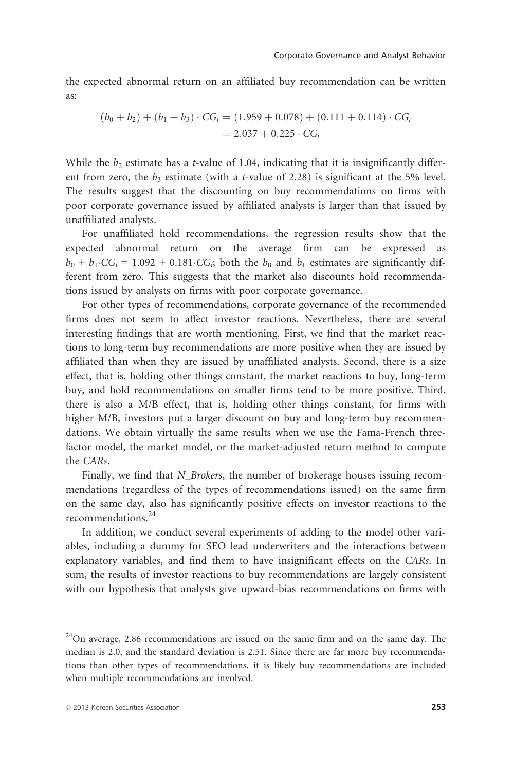the expected abnormal return on an affiliated buy recommendation can be written as:

$$
(b_0 + b_2) + (b_1 + b_3) \cdot CG_i = (1.959 + 0.078) + (0.111 + 0.114) \cdot CG_i
$$
  
= 2.037 + 0.225 \cdot CG\_i

While the  $b_2$  estimate has a t-value of 1.04, indicating that it is insignificantly different from zero, the  $b_3$  estimate (with a *t*-value of 2.28) is significant at the 5% level. The results suggest that the discounting on buy recommendations on firms with poor corporate governance issued by affiliated analysts is larger than that issued by unaffiliated analysts.

For unaffiliated hold recommendations, the regression results show that the expected abnormal return on the average firm can be expressed  $b_0 + b_1$  CG<sub>i</sub> = 1.092 + 0.181 CG<sub>i</sub>; both the  $b_0$  and  $b_1$  estimates are significantly different from zero. This suggests that the market also discounts hold recommendations issued by analysts on firms with poor corporate governance.

For other types of recommendations, corporate governance of the recommended firms does not seem to affect investor reactions. Nevertheless, there are several interesting findings that are worth mentioning. First, we find that the market reactions to long-term buy recommendations are more positive when they are issued by affiliated than when they are issued by unaffiliated analysts. Second, there is a size effect, that is, holding other things constant, the market reactions to buy, long-term buy, and hold recommendations on smaller firms tend to be more positive. Third, there is also a M/B effect, that is, holding other things constant, for firms with higher M/B, investors put a larger discount on buy and long-term buy recommendations. We obtain virtually the same results when we use the Fama-French threefactor model, the market model, or the market-adjusted return method to compute the CARs.

Finally, we find that N\_Brokers, the number of brokerage houses issuing recommendations (regardless of the types of recommendations issued) on the same firm on the same day, also has significantly positive effects on investor reactions to the recommendations.<sup>24</sup>

In addition, we conduct several experiments of adding to the model other variables, including a dummy for SEO lead underwriters and the interactions between explanatory variables, and find them to have insignificant effects on the CARs. In sum, the results of investor reactions to buy recommendations are largely consistent with our hypothesis that analysts give upward-bias recommendations on firms with

 $24$ On average, 2.86 recommendations are issued on the same firm and on the same day. The median is 2.0, and the standard deviation is 2.51. Since there are far more buy recommendations than other types of recommendations, it is likely buy recommendations are included when multiple recommendations are involved.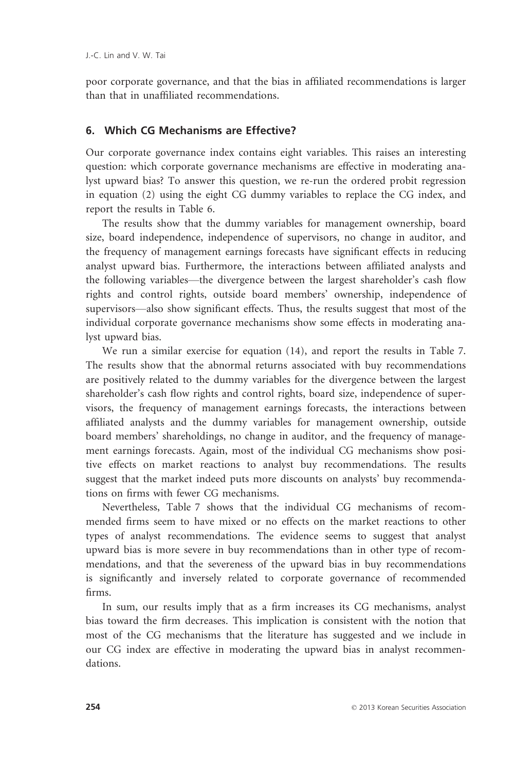poor corporate governance, and that the bias in affiliated recommendations is larger than that in unaffiliated recommendations.

# 6. Which CG Mechanisms are Effective?

Our corporate governance index contains eight variables. This raises an interesting question: which corporate governance mechanisms are effective in moderating analyst upward bias? To answer this question, we re-run the ordered probit regression in equation (2) using the eight CG dummy variables to replace the CG index, and report the results in Table 6.

The results show that the dummy variables for management ownership, board size, board independence, independence of supervisors, no change in auditor, and the frequency of management earnings forecasts have significant effects in reducing analyst upward bias. Furthermore, the interactions between affiliated analysts and the following variables—the divergence between the largest shareholder's cash flow rights and control rights, outside board members' ownership, independence of supervisors—also show significant effects. Thus, the results suggest that most of the individual corporate governance mechanisms show some effects in moderating analyst upward bias.

We run a similar exercise for equation (14), and report the results in Table 7. The results show that the abnormal returns associated with buy recommendations are positively related to the dummy variables for the divergence between the largest shareholder's cash flow rights and control rights, board size, independence of supervisors, the frequency of management earnings forecasts, the interactions between affiliated analysts and the dummy variables for management ownership, outside board members' shareholdings, no change in auditor, and the frequency of management earnings forecasts. Again, most of the individual CG mechanisms show positive effects on market reactions to analyst buy recommendations. The results suggest that the market indeed puts more discounts on analysts' buy recommendations on firms with fewer CG mechanisms.

Nevertheless, Table 7 shows that the individual CG mechanisms of recommended firms seem to have mixed or no effects on the market reactions to other types of analyst recommendations. The evidence seems to suggest that analyst upward bias is more severe in buy recommendations than in other type of recommendations, and that the severeness of the upward bias in buy recommendations is significantly and inversely related to corporate governance of recommended firms.

In sum, our results imply that as a firm increases its CG mechanisms, analyst bias toward the firm decreases. This implication is consistent with the notion that most of the CG mechanisms that the literature has suggested and we include in our CG index are effective in moderating the upward bias in analyst recommendations.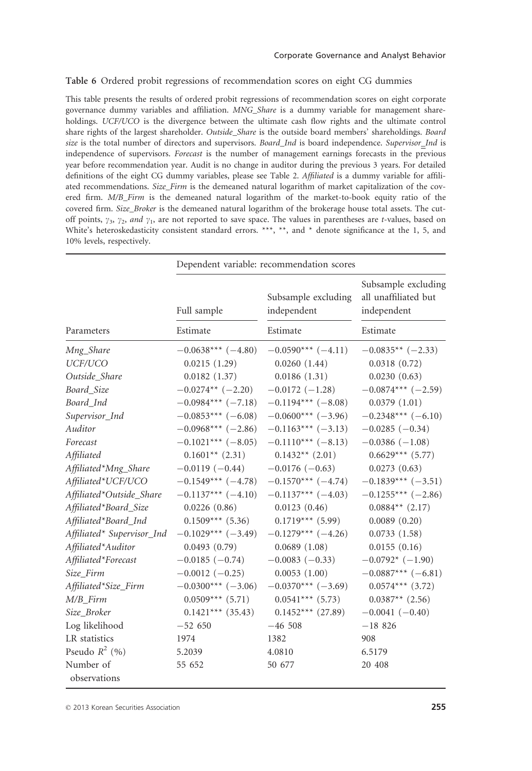#### Table 6 Ordered probit regressions of recommendation scores on eight CG dummies

This table presents the results of ordered probit regressions of recommendation scores on eight corporate governance dummy variables and affiliation. MNG\_Share is a dummy variable for management shareholdings. UCF/UCO is the divergence between the ultimate cash flow rights and the ultimate control share rights of the largest shareholder. Outside\_Share is the outside board members' shareholdings. Board size is the total number of directors and supervisors. Board\_Ind is board independence. Supervisor\_Ind is independence of supervisors. Forecast is the number of management earnings forecasts in the previous year before recommendation year. Audit is no change in auditor during the previous 3 years. For detailed definitions of the eight CG dummy variables, please see Table 2. Affiliated is a dummy variable for affiliated recommendations. Size\_Firm is the demeaned natural logarithm of market capitalization of the covered firm. M/B\_Firm is the demeaned natural logarithm of the market-to-book equity ratio of the covered firm. Size Broker is the demeaned natural logarithm of the brokerage house total assets. The cutoff points,  $\gamma_3$ ,  $\gamma_2$ , and  $\gamma_1$ , are not reported to save space. The values in parentheses are t-values, based on White's heteroskedasticity consistent standard errors. \*\*\*, \*\*, and \* denote significance at the 1, 5, and 10% levels, respectively.

|                                                                                                                                                                                                                                                                                                                                                                                       |                                                                                                                                                                                                                                                                                                                                                                                                                                        | Dependent variable: recommendation scores                                                                                                                                                                                                                                                                                                                                                                                        |                                                                                                                                                                                                                                                                                                                                                                                                             |
|---------------------------------------------------------------------------------------------------------------------------------------------------------------------------------------------------------------------------------------------------------------------------------------------------------------------------------------------------------------------------------------|----------------------------------------------------------------------------------------------------------------------------------------------------------------------------------------------------------------------------------------------------------------------------------------------------------------------------------------------------------------------------------------------------------------------------------------|----------------------------------------------------------------------------------------------------------------------------------------------------------------------------------------------------------------------------------------------------------------------------------------------------------------------------------------------------------------------------------------------------------------------------------|-------------------------------------------------------------------------------------------------------------------------------------------------------------------------------------------------------------------------------------------------------------------------------------------------------------------------------------------------------------------------------------------------------------|
|                                                                                                                                                                                                                                                                                                                                                                                       | Full sample                                                                                                                                                                                                                                                                                                                                                                                                                            | Subsample excluding<br>independent                                                                                                                                                                                                                                                                                                                                                                                               | Subsample excluding<br>all unaffiliated but<br>independent                                                                                                                                                                                                                                                                                                                                                  |
| Parameters                                                                                                                                                                                                                                                                                                                                                                            | Estimate                                                                                                                                                                                                                                                                                                                                                                                                                               | Estimate                                                                                                                                                                                                                                                                                                                                                                                                                         | Estimate                                                                                                                                                                                                                                                                                                                                                                                                    |
| Mng_Share<br><b>UCF/UCO</b><br>Outside_Share<br>Board_Size<br>Board_Ind<br>Supervisor_Ind<br>Auditor<br>Forecast<br>Affiliated<br>Affiliated*Mng_Share<br>Affiliated*UCF/UCO<br>Affiliated*Outside_Share<br>Affiliated*Board_Size<br>Affiliated*Board_Ind<br>Affiliated* Supervisor_Ind<br>Affiliated*Auditor<br>Affiliated*Forecast<br>Size Firm<br>Affiliated*Size_Firm<br>M/B_Firm | $-0.0638***(-4.80)$<br>0.0215(1.29)<br>0.0182(1.37)<br>$-0.0274**$ (-2.20)<br>$-0.0984***$ (-7.18)<br>$-0.0853***(-6.08)$<br>$-0.0968***$ (-2.86)<br>$-0.1021***$ (-8.05)<br>$0.1601**$ (2.31)<br>$-0.0119(-0.44)$<br>$-0.1549***(-4.78)$<br>$-0.1137***$ $(-4.10)$<br>0.0226(0.86)<br>$0.1509***$ (5.36)<br>$-0.1029***(-3.49)$<br>0.0493(0.79)<br>$-0.0185(-0.74)$<br>$-0.0012(-0.25)$<br>$-0.0300***$ (-3.06)<br>$0.0509***$ (5.71) | $-0.0590***(-4.11)$<br>0.0260(1.44)<br>0.0186(1.31)<br>$-0.0172(-1.28)$<br>$-0.1194***$ (-8.08)<br>$-0.0600***$ (-3.96)<br>$-0.1163***(-3.13)$<br>$-0.1110***$ $(-8.13)$<br>$0.1432**$ (2.01)<br>$-0.0176(-0.63)$<br>$-0.1570***(-4.74)$<br>$-0.1137***$ (-4.03)<br>0.0123(0.46)<br>$0.1719***$ (5.99)<br>$-0.1279***$ (-4.26)<br>0.0689(1.08)<br>$-0.0083(-0.33)$<br>0.0053(1.00)<br>$-0.0370***$ (-3.69)<br>$0.0541***$ (5.73) | $-0.0835**(-2.33)$<br>0.0318(0.72)<br>0.0230(0.63)<br>$-0.0874***$ (-2.59)<br>0.0379(1.01)<br>$-0.2348***(-6.10)$<br>$-0.0285(-0.34)$<br>$-0.0386(-1.08)$<br>$0.6629***$ (5.77)<br>0.0273(0.63)<br>$-0.1839***(-3.51)$<br>$-0.1255***(-2.86)$<br>$0.0884**$ (2.17)<br>0.0089(0.20)<br>0.0733(1.58)<br>0.0155(0.16)<br>$-0.0792*$ (-1.90)<br>$-0.0887***$ (-6.81)<br>$0.0574***$ (3.72)<br>$0.0387**$ (2.56) |
| Size Broker<br>Log likelihood<br>LR statistics<br>Pseudo $R^2$ (%)<br>Number of<br>observations                                                                                                                                                                                                                                                                                       | $0.1421***$ (35.43)<br>$-52650$<br>1974<br>5.2039<br>55 652                                                                                                                                                                                                                                                                                                                                                                            | $0.1452***$ (27.89)<br>$-46,508$<br>1382<br>4.0810<br>50 677                                                                                                                                                                                                                                                                                                                                                                     | $-0.0041(-0.40)$<br>$-18826$<br>908<br>6.5179<br>20 408                                                                                                                                                                                                                                                                                                                                                     |

© 2013 Korean Securities Association 255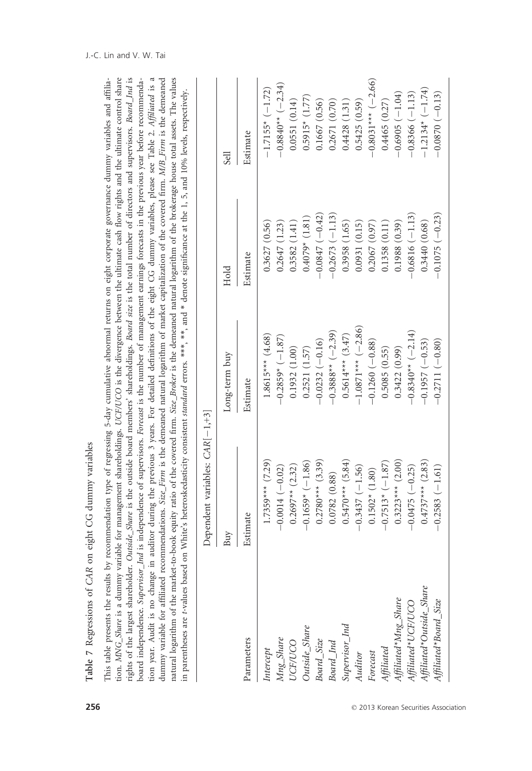| tion year. Audit is no change      | natural logarithm of the market-to-book equity ratio of the covered firm. Size_Broker is the demeaned natural logarithm of the brokerage house total assets. The values<br>in auditor during the previous 3 years. For detailed definitions of the eight CG dummy variables, please see Table 2. Affiliated is a<br>dummy variable for affiliated recommendations. Size_Firm is the demeaned natural logarithm of market capitalization of the covered firm. M/B_Firm is the demeaned<br>in parentheses are t-values based on White's heteroskedasticity consistent standard errors. ***, **, and * denote significance at the 1, 5, and 10% levels, respectively. |                        |                  |                                  |
|------------------------------------|--------------------------------------------------------------------------------------------------------------------------------------------------------------------------------------------------------------------------------------------------------------------------------------------------------------------------------------------------------------------------------------------------------------------------------------------------------------------------------------------------------------------------------------------------------------------------------------------------------------------------------------------------------------------|------------------------|------------------|----------------------------------|
|                                    | Dependent variables: $CAR[-1,+3]$                                                                                                                                                                                                                                                                                                                                                                                                                                                                                                                                                                                                                                  |                        |                  |                                  |
|                                    | Buy                                                                                                                                                                                                                                                                                                                                                                                                                                                                                                                                                                                                                                                                | Long-term buy          | Hold             | Sell                             |
| Parameters                         | Estimate                                                                                                                                                                                                                                                                                                                                                                                                                                                                                                                                                                                                                                                           | Estimate               | Estimate         | Estimate                         |
| Intercept                          | $1.7359***$ (7.29)                                                                                                                                                                                                                                                                                                                                                                                                                                                                                                                                                                                                                                                 | $1.8615***$ (4.68)     | 0.3627(0.56)     | $-1.7155*(-1.72)$                |
|                                    | $-0.0014(-0.02)$                                                                                                                                                                                                                                                                                                                                                                                                                                                                                                                                                                                                                                                   | $-0.2859*(-1.87)$      | 0.2647(1.23)     | $-0.8840**(-2.34)$               |
| Mng_Share<br>UCF/UCO               | $0.2697**$ (2.32)                                                                                                                                                                                                                                                                                                                                                                                                                                                                                                                                                                                                                                                  | 0.1932(1.00)           | 0.3582(1.41)     | 0.0551(0.14)                     |
| Outside_Share                      | $-0.1659*(-1.86)$                                                                                                                                                                                                                                                                                                                                                                                                                                                                                                                                                                                                                                                  | 0.2521(1.57)           | $0.4079*$ (1.81) | $0.5915*(1.77)$                  |
| Board_Size                         | $0.2780***$ (3.39)                                                                                                                                                                                                                                                                                                                                                                                                                                                                                                                                                                                                                                                 | $-0.0232(-0.16)$       | $-0.0847(-0.42)$ | 0.1667(0.56)                     |
| $Board\_Ind$                       | 0.0782(0.88)                                                                                                                                                                                                                                                                                                                                                                                                                                                                                                                                                                                                                                                       | $-0.3888**(-2.39)$     | $-0.2673(-1.13)$ | 0.2671(0.70)                     |
| Supervisor_Ind                     | $0.5470***$ (5.84)                                                                                                                                                                                                                                                                                                                                                                                                                                                                                                                                                                                                                                                 | $0.5614***$ (3.47)     | 0.3958(1.65)     | 0.4428(1.31)                     |
| Auditor                            | $-0.3437(-1.56)$                                                                                                                                                                                                                                                                                                                                                                                                                                                                                                                                                                                                                                                   | $-1.0871***$ $(-2.86)$ | 0.0931(0.15)     | 0.5425(0.59)                     |
| $\label{eq:cond} For each set$     | $0.1502*$ (1.80)                                                                                                                                                                                                                                                                                                                                                                                                                                                                                                                                                                                                                                                   | $-0.1260(-0.88)$       | 0.2067(0.97)     | $-0.8031***(-2.66)$              |
| Affiliated<br>Affiliated*Mng_Share | $-0.7513$ <sup>*</sup> $(-1.87)$                                                                                                                                                                                                                                                                                                                                                                                                                                                                                                                                                                                                                                   | 0.5085(0.55)           | 0.1358(0.11)     | 0.4465(0.27)                     |
|                                    | $0.3223***$ (2.00)                                                                                                                                                                                                                                                                                                                                                                                                                                                                                                                                                                                                                                                 | 0.3422(0.99)           | 0.1988(0.39)     | $-0.6905(-1.04)$                 |
| Affiliated*UCF/UCO                 | $-0.0475(-0.25)$                                                                                                                                                                                                                                                                                                                                                                                                                                                                                                                                                                                                                                                   | $-0.8340**(-2.14)$     | $-0.6816(-1.13)$ | $-0.8366(-1.13)$                 |
| $4$ ffiliated*Outside_Share        | $0.4737***$ (2.83)                                                                                                                                                                                                                                                                                                                                                                                                                                                                                                                                                                                                                                                 | $-0.1957(-0.53)$       | 0.3440(0.68)     | $-1.2134$ <sup>*</sup> $(-1.74)$ |
| Affiliated*Board_Size              | $-0.2583(-1.61)$                                                                                                                                                                                                                                                                                                                                                                                                                                                                                                                                                                                                                                                   | $-0.2711(-0.80)$       | $-0.1075(-0.23)$ | $-0.0870(-0.13)$                 |

Table 7 Regressions of CAR on eight CG dummy variables

Table 7 Regressions of CAR on eight CG dummy variables

This table presents the results by recommendation type of regressing 5-day cumulative abnormal returns on eight corporate governance dummy variables and affiliation. MNG\_Share is a dummy variable for management shareholdings. UCF/UCO is the divergence between the ultimate cash flow rights and the ultimate control share rights of the largest shareholder. Ou*tside\_Share* is the outside board members' shareholdings. Board size is the total number of directors and supervisors. Board\_Ind is board independence. Supervisor\_Ind is independence of supervisors. Forecast is the number of management earnings forecasts in the previous year before recommenda-

This table presents the results by recommendation type of regressing 5-day cumulative abnormal returns on eight corporate governance dummy variables and affilia-

tion. MNG\_Share is a dummy variable for management shareholdings. UCF/UCO is the divergence between the ultimate cash flow rights and the ultimate control share rights of the largest shareholder. Outside\_Share is the outside board members' shareholdings. Board size is the total number of directors and supervisors. Board\_Ind is board independence. Supervisor\_Ind is independence of supervisors. Forecast is the number of management earnings forecasts in the previous year before recommenda-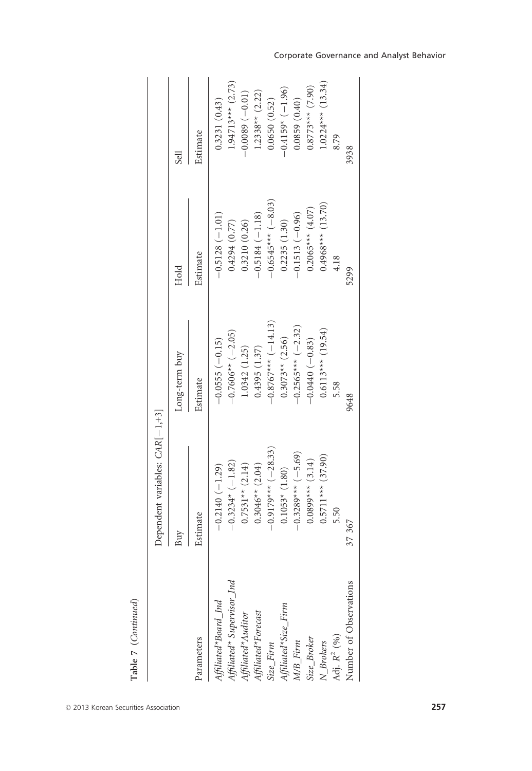|                               | Dependent variables: $CAR[-1,+3]$ |                           |                      |                     |
|-------------------------------|-----------------------------------|---------------------------|----------------------|---------------------|
|                               |                                   | Long-term buy             | Hold                 | Sell                |
| Parameters                    | Estimate                          | Estimate                  | Estimate             | Estimate            |
| Affliated*Board_Ind           | $-0.2140(-1.29)$                  | $-0.0555(-0.15)$          | $-0.5128(-1.01)$     | 0.3231(0.43)        |
| Miliated* Supervisor_Ind      | $-0.3234*(-1.82)$                 | $-0.7606**(-2.05)$        | 0.4294(0.77)         | $1.94713***$ (2.73) |
| Affiliated*Auditor            | $0.7531**$ (2.14)                 | 1.0342 (1.25)             | 0.3210(0.26)         | $-0.0089(-0.01)$    |
| $Affulated*Forecast$          | $0.3046**$ (2.04)                 | 0.4395(1.37)              | $-0.5184(-1.18)$     | $1.2338**$ (2.22)   |
| Size_Firm                     | $-0.9179***(-28.33)$              | $-0.8767***$ ( $-14.13$ ) | $-0.6545***$ (-8.03) | 0.0650(0.52)        |
| Affiliated*Size_Firm          | $0.1053*(1.80)$                   | $0.3073**$ (2.56)         | 0.2235(1.30)         | $-0.4159*(-1.96)$   |
| $MB\_Firm$                    | $-0.3289***(-5.69)$               | $-0.2565***(-2.32)$       | $-0.1513(-0.96)$     | 0.0859(0.40)        |
| Size_Broker                   | $0.0899***$ (3.14)                | $-0.0440(-0.83)$          | $0.2065***$ (4.07)   | $0.8773***$ (7.90)  |
| $N_B$ rokers                  | $0.5711***$ (37.90)               | $0.6113***$ (19.54)       | $0.4968***$ (13.70)  | $1.0224***$ (13.34) |
| Adj. $R^2\ (96)$              | 5.50                              | 5.58                      | 4.18                 | 8.79                |
| <b>Number of Observations</b> | 37 367                            | 9648                      | 5299                 | 3938                |
|                               |                                   |                           |                      |                     |

| í. |
|----|
| r  |
|    |

Corporate Governance and Analyst Behavior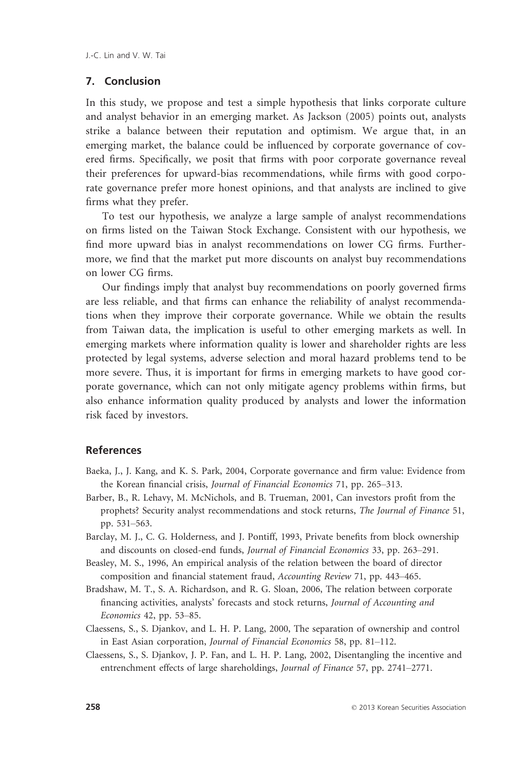## 7. Conclusion

In this study, we propose and test a simple hypothesis that links corporate culture and analyst behavior in an emerging market. As Jackson (2005) points out, analysts strike a balance between their reputation and optimism. We argue that, in an emerging market, the balance could be influenced by corporate governance of covered firms. Specifically, we posit that firms with poor corporate governance reveal their preferences for upward-bias recommendations, while firms with good corporate governance prefer more honest opinions, and that analysts are inclined to give firms what they prefer.

To test our hypothesis, we analyze a large sample of analyst recommendations on firms listed on the Taiwan Stock Exchange. Consistent with our hypothesis, we find more upward bias in analyst recommendations on lower CG firms. Furthermore, we find that the market put more discounts on analyst buy recommendations on lower CG firms.

Our findings imply that analyst buy recommendations on poorly governed firms are less reliable, and that firms can enhance the reliability of analyst recommendations when they improve their corporate governance. While we obtain the results from Taiwan data, the implication is useful to other emerging markets as well. In emerging markets where information quality is lower and shareholder rights are less protected by legal systems, adverse selection and moral hazard problems tend to be more severe. Thus, it is important for firms in emerging markets to have good corporate governance, which can not only mitigate agency problems within firms, but also enhance information quality produced by analysts and lower the information risk faced by investors.

## References

- Baeka, J., J. Kang, and K. S. Park, 2004, Corporate governance and firm value: Evidence from the Korean financial crisis, Journal of Financial Economics 71, pp. 265–313.
- Barber, B., R. Lehavy, M. McNichols, and B. Trueman, 2001, Can investors profit from the prophets? Security analyst recommendations and stock returns, The Journal of Finance 51, pp. 531–563.
- Barclay, M. J., C. G. Holderness, and J. Pontiff, 1993, Private benefits from block ownership and discounts on closed-end funds, Journal of Financial Economics 33, pp. 263–291.
- Beasley, M. S., 1996, An empirical analysis of the relation between the board of director composition and financial statement fraud, Accounting Review 71, pp. 443–465.
- Bradshaw, M. T., S. A. Richardson, and R. G. Sloan, 2006, The relation between corporate financing activities, analysts' forecasts and stock returns, Journal of Accounting and Economics 42, pp. 53–85.
- Claessens, S., S. Djankov, and L. H. P. Lang, 2000, The separation of ownership and control in East Asian corporation, Journal of Financial Economics 58, pp. 81–112.
- Claessens, S., S. Djankov, J. P. Fan, and L. H. P. Lang, 2002, Disentangling the incentive and entrenchment effects of large shareholdings, Journal of Finance 57, pp. 2741–2771.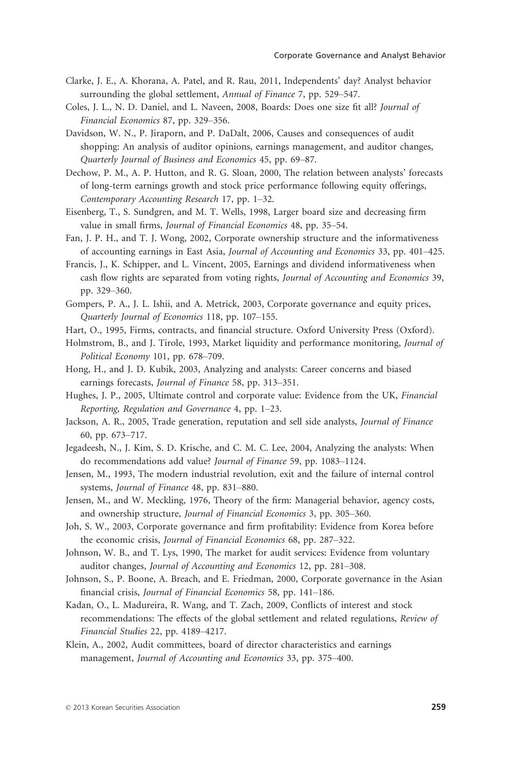- Clarke, J. E., A. Khorana, A. Patel, and R. Rau, 2011, Independents' day? Analyst behavior surrounding the global settlement, Annual of Finance 7, pp. 529–547.
- Coles, J. L., N. D. Daniel, and L. Naveen, 2008, Boards: Does one size fit all? Journal of Financial Economics 87, pp. 329–356.
- Davidson, W. N., P. Jiraporn, and P. DaDalt, 2006, Causes and consequences of audit shopping: An analysis of auditor opinions, earnings management, and auditor changes, Quarterly Journal of Business and Economics 45, pp. 69–87.
- Dechow, P. M., A. P. Hutton, and R. G. Sloan, 2000, The relation between analysts' forecasts of long-term earnings growth and stock price performance following equity offerings, Contemporary Accounting Research 17, pp. 1–32.
- Eisenberg, T., S. Sundgren, and M. T. Wells, 1998, Larger board size and decreasing firm value in small firms, Journal of Financial Economics 48, pp. 35–54.
- Fan, J. P. H., and T. J. Wong, 2002, Corporate ownership structure and the informativeness of accounting earnings in East Asia, Journal of Accounting and Economics 33, pp. 401–425.
- Francis, J., K. Schipper, and L. Vincent, 2005, Earnings and dividend informativeness when cash flow rights are separated from voting rights, Journal of Accounting and Economics 39, pp. 329–360.
- Gompers, P. A., J. L. Ishii, and A. Metrick, 2003, Corporate governance and equity prices, Quarterly Journal of Economics 118, pp. 107–155.
- Hart, O., 1995, Firms, contracts, and financial structure. Oxford University Press (Oxford).
- Holmstrom, B., and J. Tirole, 1993, Market liquidity and performance monitoring, Journal of Political Economy 101, pp. 678–709.
- Hong, H., and J. D. Kubik, 2003, Analyzing and analysts: Career concerns and biased earnings forecasts, Journal of Finance 58, pp. 313–351.
- Hughes, J. P., 2005, Ultimate control and corporate value: Evidence from the UK, Financial Reporting, Regulation and Governance 4, pp. 1–23.
- Jackson, A. R., 2005, Trade generation, reputation and sell side analysts, Journal of Finance 60, pp. 673–717.
- Jegadeesh, N., J. Kim, S. D. Krische, and C. M. C. Lee, 2004, Analyzing the analysts: When do recommendations add value? Journal of Finance 59, pp. 1083–1124.
- Jensen, M., 1993, The modern industrial revolution, exit and the failure of internal control systems, Journal of Finance 48, pp. 831–880.
- Jensen, M., and W. Meckling, 1976, Theory of the firm: Managerial behavior, agency costs, and ownership structure, Journal of Financial Economics 3, pp. 305–360.
- Joh, S. W., 2003, Corporate governance and firm profitability: Evidence from Korea before the economic crisis, Journal of Financial Economics 68, pp. 287–322.
- Johnson, W. B., and T. Lys, 1990, The market for audit services: Evidence from voluntary auditor changes, Journal of Accounting and Economics 12, pp. 281–308.
- Johnson, S., P. Boone, A. Breach, and E. Friedman, 2000, Corporate governance in the Asian financial crisis, Journal of Financial Economics 58, pp. 141–186.
- Kadan, O., L. Madureira, R. Wang, and T. Zach, 2009, Conflicts of interest and stock recommendations: The effects of the global settlement and related regulations, Review of Financial Studies 22, pp. 4189–4217.
- Klein, A., 2002, Audit committees, board of director characteristics and earnings management, Journal of Accounting and Economics 33, pp. 375–400.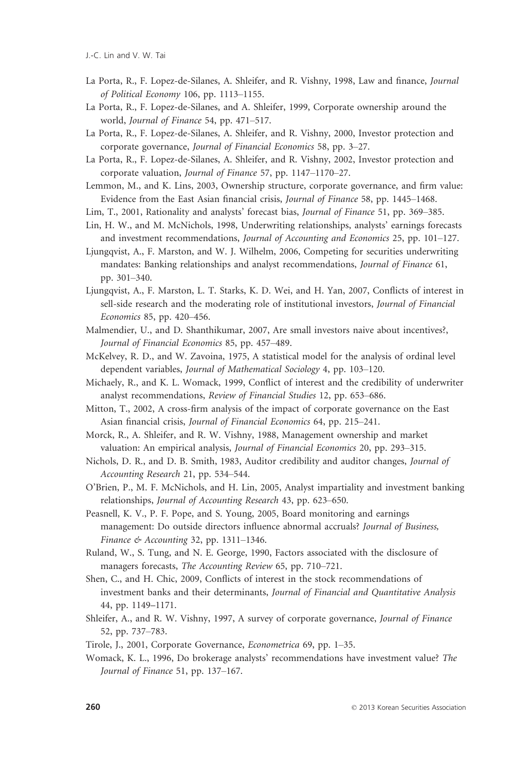- La Porta, R., F. Lopez-de-Silanes, A. Shleifer, and R. Vishny, 1998, Law and finance, Journal of Political Economy 106, pp. 1113–1155.
- La Porta, R., F. Lopez-de-Silanes, and A. Shleifer, 1999, Corporate ownership around the world, Journal of Finance 54, pp. 471–517.
- La Porta, R., F. Lopez-de-Silanes, A. Shleifer, and R. Vishny, 2000, Investor protection and corporate governance, Journal of Financial Economics 58, pp. 3–27.
- La Porta, R., F. Lopez-de-Silanes, A. Shleifer, and R. Vishny, 2002, Investor protection and corporate valuation, Journal of Finance 57, pp. 1147–1170–27.
- Lemmon, M., and K. Lins, 2003, Ownership structure, corporate governance, and firm value: Evidence from the East Asian financial crisis, Journal of Finance 58, pp. 1445–1468.
- Lim, T., 2001, Rationality and analysts' forecast bias, Journal of Finance 51, pp. 369–385.
- Lin, H. W., and M. McNichols, 1998, Underwriting relationships, analysts' earnings forecasts and investment recommendations, Journal of Accounting and Economics 25, pp. 101–127.
- Ljungqvist, A., F. Marston, and W. J. Wilhelm, 2006, Competing for securities underwriting mandates: Banking relationships and analyst recommendations, Journal of Finance 61, pp. 301–340.
- Ljungqvist, A., F. Marston, L. T. Starks, K. D. Wei, and H. Yan, 2007, Conflicts of interest in sell-side research and the moderating role of institutional investors, Journal of Financial Economics 85, pp. 420–456.
- Malmendier, U., and D. Shanthikumar, 2007, Are small investors naive about incentives?, Journal of Financial Economics 85, pp. 457–489.
- McKelvey, R. D., and W. Zavoina, 1975, A statistical model for the analysis of ordinal level dependent variables, Journal of Mathematical Sociology 4, pp. 103–120.
- Michaely, R., and K. L. Womack, 1999, Conflict of interest and the credibility of underwriter analyst recommendations, Review of Financial Studies 12, pp. 653–686.
- Mitton, T., 2002, A cross-firm analysis of the impact of corporate governance on the East Asian financial crisis, Journal of Financial Economics 64, pp. 215–241.
- Morck, R., A. Shleifer, and R. W. Vishny, 1988, Management ownership and market valuation: An empirical analysis, Journal of Financial Economics 20, pp. 293–315.
- Nichols, D. R., and D. B. Smith, 1983, Auditor credibility and auditor changes, Journal of Accounting Research 21, pp. 534–544.
- O'Brien, P., M. F. McNichols, and H. Lin, 2005, Analyst impartiality and investment banking relationships, Journal of Accounting Research 43, pp. 623–650.
- Peasnell, K. V., P. F. Pope, and S. Young, 2005, Board monitoring and earnings management: Do outside directors influence abnormal accruals? Journal of Business, Finance & Accounting 32, pp. 1311–1346.
- Ruland, W., S. Tung, and N. E. George, 1990, Factors associated with the disclosure of managers forecasts, The Accounting Review 65, pp. 710–721.
- Shen, C., and H. Chic, 2009, Conflicts of interest in the stock recommendations of investment banks and their determinants, Journal of Financial and Quantitative Analysis 44, pp. 1149–1171.
- Shleifer, A., and R. W. Vishny, 1997, A survey of corporate governance, Journal of Finance 52, pp. 737–783.
- Tirole, J., 2001, Corporate Governance, Econometrica 69, pp. 1–35.
- Womack, K. L., 1996, Do brokerage analysts' recommendations have investment value? The Journal of Finance 51, pp. 137–167.